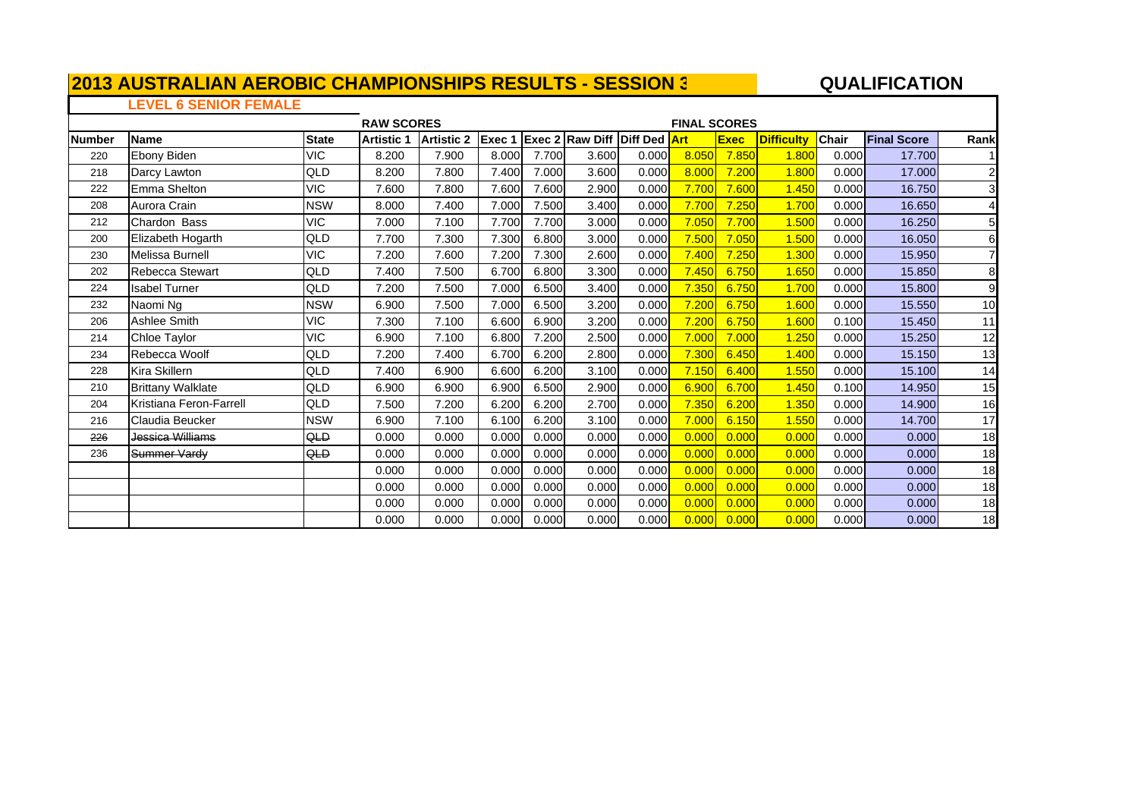#### **A**  $\overline{a}$  **QUALIFICATION**

 $\blacksquare$ 

### **LEVEL 6 SENIOR FEMALE**

|               |                          |              | <b>RAW SCORES</b> |                   |        |       |                                     |       | <b>FINAL SCORES</b> |             |                   |              |                    |                |
|---------------|--------------------------|--------------|-------------------|-------------------|--------|-------|-------------------------------------|-------|---------------------|-------------|-------------------|--------------|--------------------|----------------|
| <b>Number</b> | Name                     | <b>State</b> | <b>Artistic 1</b> | <b>Artistic 2</b> | Exec 1 |       | <b>Exec 2 Raw Diff Diff Ded Art</b> |       |                     | <b>Exec</b> | <b>Difficulty</b> | <b>Chair</b> | <b>Final Score</b> | Rank           |
| 220           | Ebony Biden              | <b>VIC</b>   | 8.200             | 7.900             | 8.000  | 7.700 | 3.600                               | 0.000 | 8.050               | 7.850       | 1.800             | 0.000        | 17.700             |                |
| 218           | Darcy Lawton             | QLD          | 8.200             | 7.800             | 7.400  | 7.000 | 3.600                               | 0.000 | 8.000               | 7.200       | 1.800             | 0.000        | 17.000             | $\overline{2}$ |
| 222           | Emma Shelton             | <b>VIC</b>   | 7.600             | 7.800             | 7.600  | 7.600 | 2.900                               | 0.000 | 7.700               | 7.600       | 1.450             | 0.000        | 16.750             | 3              |
| 208           | Aurora Crain             | <b>NSW</b>   | 8.000             | 7.400             | 7.000  | 7.500 | 3.400                               | 0.000 | 7.700               | 7.250       | 1.700             | 0.000        | 16.650             | 4              |
| 212           | Chardon Bass             | VIC          | 7.000             | 7.100             | 7.700  | 7.700 | 3.000                               | 0.000 | 7.050               | 7.700       | 1.500             | 0.000        | 16.250             | 5              |
| 200           | Elizabeth Hogarth        | QLD          | 7.700             | 7.300             | 7.300  | 6.800 | 3.000                               | 0.000 | 7.500               | 7.050       | 1.500             | 0.000        | 16.050             | 6              |
| 230           | Melissa Burnell          | VIC          | 7.200             | 7.600             | 7.200  | 7.300 | 2.600                               | 0.000 | 7.400               | 7.250       | 1.300             | 0.000        | 15.950             | 7              |
| 202           | Rebecca Stewart          | QLD          | 7.400             | 7.500             | 6.700  | 6.800 | 3.300                               | 0.000 | 7.450               | 6.750       | 1.650             | 0.000        | 15.850             | 8              |
| 224           | <b>Isabel Turner</b>     | QLD          | 7.200             | 7.500             | 7.000  | 6.500 | 3.400                               | 0.000 | 7.350               | 6.750       | 1.700             | 0.000        | 15.800             | 9              |
| 232           | Naomi Ng                 | <b>NSW</b>   | 6.900             | 7.500             | 7.000  | 6.500 | 3.200                               | 0.000 | 7.200               | 6.750       | 1.600             | 0.000        | 15.550             | 10             |
| 206           | Ashlee Smith             | VIC          | 7.300             | 7.100             | 6.600  | 6.900 | 3.200                               | 0.000 | 7.200               | 6.750       | 1.600             | 0.100        | 15.450             | 11             |
| 214           | Chloe Taylor             | <b>VIC</b>   | 6.900             | 7.100             | 6.800  | 7.200 | 2.500                               | 0.000 | 7.000               | 7.000       | 1.250             | 0.000        | 15.250             | 12             |
| 234           | Rebecca Woolf            | QLD          | 7.200             | 7.400             | 6.700  | 6.200 | 2.800                               | 0.000 | 7.300               | 6.450       | 1.400             | 0.000        | 15.150             | 13             |
| 228           | Kira Skillern            | QLD          | 7.400             | 6.900             | 6.600  | 6.200 | 3.100                               | 0.000 | 7.150               | 6.400       | 1.55C             | 0.000        | 15.100             | 14             |
| 210           | <b>Brittany Walklate</b> | QLD          | 6.900             | 6.900             | 6.900  | 6.500 | 2.900                               | 0.000 | 6.900               | 6.700       | 1.450             | 0.100        | 14.950             | 15             |
| 204           | Kristiana Feron-Farrell  | QLD          | 7.500             | 7.200             | 6.200  | 6.200 | 2.700                               | 0.000 | 7.350               | 6.200       | 1.350             | 0.000        | 14.900             | 16             |
| 216           | Claudia Beucker          | <b>NSW</b>   | 6.900             | 7.100             | 6.100  | 6.200 | 3.100                               | 0.000 | 7.000               | 6.150       | 1.550             | 0.000        | 14.700             | 17             |
| 226           | Jessica Williams         | QLD          | 0.000             | 0.000             | 0.000  | 0.000 | 0.000                               | 0.000 | 0.000               | 0.000       | 0.000             | 0.000        | 0.000              | 18             |
| 236           | Summer Vardy             | QLD          | 0.000             | 0.000             | 0.000  | 0.000 | 0.000                               | 0.000 | 0.000               | 0.000       | 0.000             | 0.000        | 0.000              | 18             |
|               |                          |              | 0.000             | 0.000             | 0.000  | 0.000 | 0.000                               | 0.000 | 0.000               | 0.000       | 0.000             | 0.000        | 0.000              | 18             |
|               |                          |              | 0.000             | 0.000             | 0.000  | 0.000 | 0.000                               | 0.000 | 0.000               | 0.000       | 0.000             | 0.000        | 0.000              | 18             |
|               |                          |              | 0.000             | 0.000             | 0.000  | 0.000 | 0.000                               | 0.000 | 0.000               | 0.000       | 0.000             | 0.000        | 0.000              | 18             |
|               |                          |              | 0.000             | 0.000             | 0.000  | 0.000 | 0.000                               | 0.000 | 0.000               | 0.000       | 0.000             | 0.000        | 0.000              | 18             |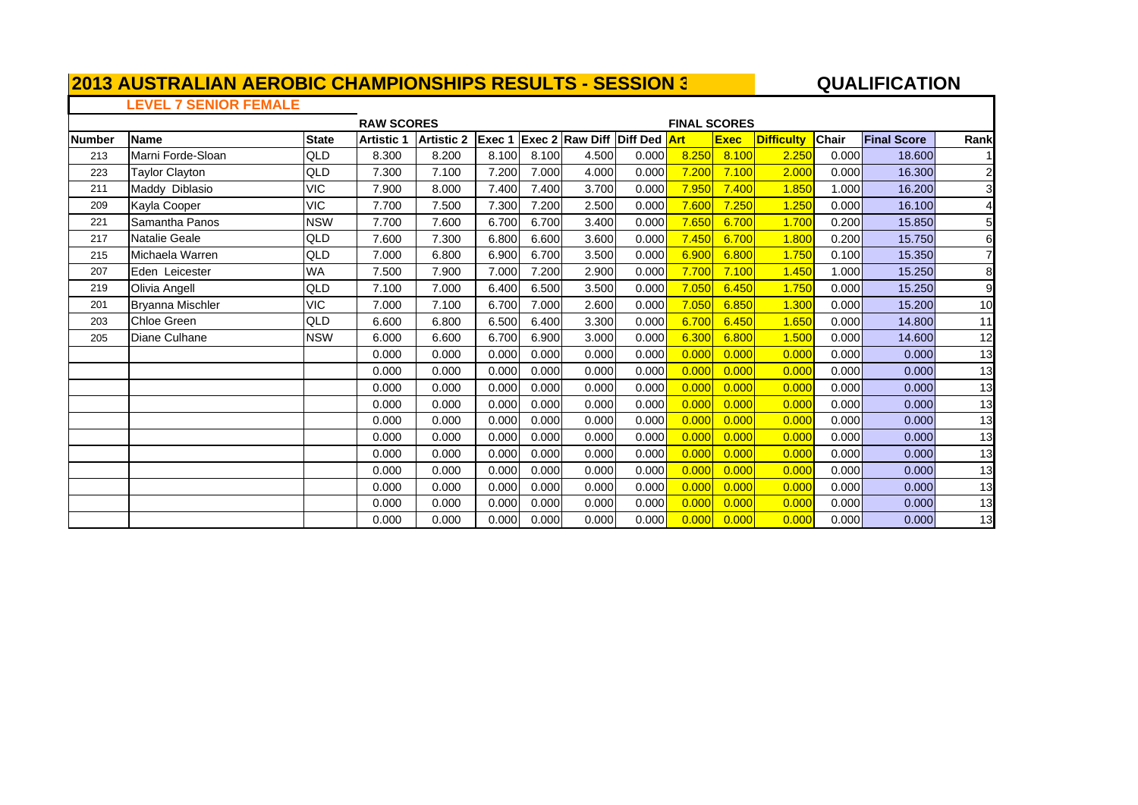#### **QUALIFICATIO N**

### **LEVEL 7 SENIOR FEMALE**

|               |                         |              | <b>RAW SCORES</b> |                   |        |       |                                     |       | <b>FINAL SCORES</b> |             |                   |       |                    |                |
|---------------|-------------------------|--------------|-------------------|-------------------|--------|-------|-------------------------------------|-------|---------------------|-------------|-------------------|-------|--------------------|----------------|
| <b>Number</b> | <b>Name</b>             | <b>State</b> | <b>Artistic 1</b> | <b>Artistic 2</b> | Exec 1 |       | <b>Exec 2 Raw Diff Diff Ded Art</b> |       |                     | <b>Exec</b> | <b>Difficulty</b> | Chair | <b>Final Score</b> | Rank           |
| 213           | Marni Forde-Sloan       | QLD          | 8.300             | 8.200             | 8.100  | 8.100 | 4.500                               | 0.000 | 8.250               | 8.100       | 2.250             | 0.000 | 18.600             |                |
| 223           | Taylor Clayton          | QLD          | 7.300             | 7.100             | 7.200  | 7.000 | 4.000                               | 0.000 | 7.200               | 7.100       | 2.000             | 0.000 | 16.300             | $\mathbf{2}$   |
| 211           | Maddy Diblasio          | <b>VIC</b>   | 7.900             | 8.000             | 7.400  | 7.400 | 3.700                               | 0.000 | 7.950               | 7.400       | 1.850             | 1.000 | 16.200             | 3              |
| 209           | Kayla Cooper            | <b>VIC</b>   | 7.700             | 7.500             | 7.300  | 7.200 | 2.500                               | 0.000 | 7.600               | 7.250       | 1.250             | 0.000 | 16.100             | $\overline{4}$ |
| 221           | Samantha Panos          | <b>NSW</b>   | 7.700             | 7.600             | 6.700  | 6.700 | 3.400                               | 0.000 | 7.650               | 6.700       | 1.700             | 0.200 | 15.850             | 5 <sub>l</sub> |
| 217           | Natalie Geale           | QLD          | 7.600             | 7.300             | 6.800  | 6.600 | 3.600                               | 0.000 | 7.450               | 6.700       | 1.800             | 0.200 | 15.750             | 6              |
| 215           | Michaela Warren         | QLD          | 7.000             | 6.800             | 6.900  | 6.700 | 3.500                               | 0.000 | 6.900               | 6.800       | 1.750             | 0.100 | 15.350             |                |
| 207           | Eden Leicester          | <b>WA</b>    | 7.500             | 7.900             | 7.000  | 7.200 | 2.900                               | 0.000 | 7.700               | 7.100       | 1.450             | 1.000 | 15.250             | 8              |
| 219           | Olivia Angell           | QLD          | 7.100             | 7.000             | 6.400  | 6.500 | 3.500                               | 0.000 | 7.050               | 6.450       | 1.750             | 0.000 | 15.250             | 9              |
| 201           | <b>Bryanna Mischler</b> | VIC          | 7.000             | 7.100             | 6.700  | 7.000 | 2.600                               | 0.000 | 7.050               | 6.850       | 1.300             | 0.000 | 15.200             | 10             |
| 203           | Chloe Green             | QLD          | 6.600             | 6.800             | 6.500  | 6.400 | 3.300                               | 0.000 | 6.700               | 6.450       | 1.650             | 0.000 | 14.800             | 11             |
| 205           | Diane Culhane           | <b>NSW</b>   | 6.000             | 6.600             | 6.700  | 6.900 | 3.000                               | 0.000 | 6.300               | 6.800       | 1.500             | 0.000 | 14.600             | 12             |
|               |                         |              | 0.000             | 0.000             | 0.000  | 0.000 | 0.000                               | 0.000 | 0.000               | 0.000       | 0.000             | 0.000 | 0.000              | 13             |
|               |                         |              | 0.000             | 0.000             | 0.000  | 0.000 | 0.000                               | 0.000 | 0.000               | 0.000       | 0.000             | 0.000 | 0.000              | 13             |
|               |                         |              | 0.000             | 0.000             | 0.000  | 0.000 | 0.000                               | 0.000 | 0.000               | 0.000       | 0.000             | 0.000 | 0.000              | 13             |
|               |                         |              | 0.000             | 0.000             | 0.000  | 0.000 | 0.000                               | 0.000 | 0.000               | 0.000       | 0.000             | 0.000 | 0.000              | 13             |
|               |                         |              | 0.000             | 0.000             | 0.000  | 0.000 | 0.000                               | 0.000 | 0.000               | 0.000       | 0.000             | 0.000 | 0.000              | 13             |
|               |                         |              | 0.000             | 0.000             | 0.000  | 0.000 | 0.000                               | 0.000 | 0.000               | 0.000       | 0.000             | 0.000 | 0.000              | 13             |
|               |                         |              | 0.000             | 0.000             | 0.000  | 0.000 | 0.000                               | 0.000 | 0.000               | 0.000       | 0.000             | 0.000 | 0.000              | 13             |
|               |                         |              | 0.000             | 0.000             | 0.000  | 0.000 | 0.000                               | 0.000 | 0.000               | 0.000       | 0.000             | 0.000 | 0.000              | 13             |
|               |                         |              | 0.000             | 0.000             | 0.000  | 0.000 | 0.000                               | 0.000 | 0.000               | 0.000       | 0.000             | 0.000 | 0.000              | 13             |
|               |                         |              | 0.000             | 0.000             | 0.000  | 0.000 | 0.000                               | 0.000 | 0.000               | 0.000       | 0.000             | 0.000 | 0.000              | 13             |
|               |                         |              | 0.000             | 0.000             | 0.000  | 0.000 | 0.000                               | 0.000 | 0.000               | 0.000       | 0.000             | 0.000 | 0.000              | 13             |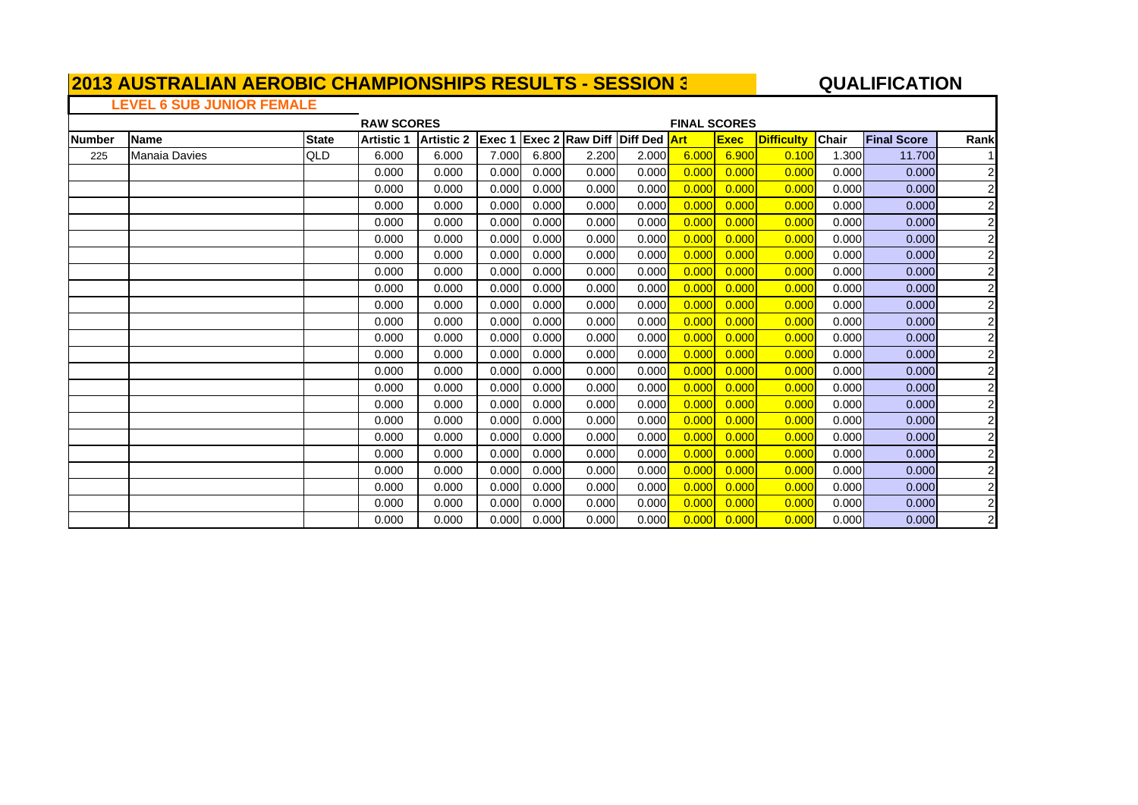#### **A**  $\overline{a}$  **QUALIFICATION**

### **LEVEL 6 SUB JUNIOR FEMALE**

|               |                      |              | <b>RAW SCORES</b> |                   |        |       |                                      |       | <b>FINAL SCORES</b> |             |                   |       |                    |                         |
|---------------|----------------------|--------------|-------------------|-------------------|--------|-------|--------------------------------------|-------|---------------------|-------------|-------------------|-------|--------------------|-------------------------|
| <b>Number</b> | <b>Name</b>          | <b>State</b> | <b>Artistic 1</b> | <b>Artistic 2</b> | Exec 1 |       | <b>IExec 2 Raw Diff Diff Ded Art</b> |       |                     | <b>Exec</b> | <b>Difficulty</b> | Chair | <b>Final Score</b> | Rank                    |
| 225           | <b>Manaia Davies</b> | QLD          | 6.000             | 6.000             | 7.000  | 6.800 | 2.200                                | 2.000 | 6.000               | 6.900       | 0.100             | 1.300 | 11.700             |                         |
|               |                      |              | 0.000             | 0.000             | 0.000  | 0.000 | 0.000                                | 0.000 | 0.000               | 0.000       | 0.000             | 0.000 | 0.000              | $\overline{2}$          |
|               |                      |              | 0.000             | 0.000             | 0.000  | 0.000 | 0.000                                | 0.000 | 0.000               | 0.000       | 0.000             | 0.000 | 0.000              | $\overline{c}$          |
|               |                      |              | 0.000             | 0.000             | 0.000  | 0.000 | 0.000                                | 0.000 | 0.000               | 0.000       | 0.000             | 0.000 | 0.000              | $\overline{c}$          |
|               |                      |              | 0.000             | 0.000             | 0.000  | 0.000 | 0.000                                | 0.000 | 0.000               | 0.000       | 0.000             | 0.000 | 0.000              | $\overline{\mathbf{c}}$ |
|               |                      |              | 0.000             | 0.000             | 0.000  | 0.000 | 0.000                                | 0.000 | 0.000               | 0.000       | 0.000             | 0.000 | 0.000              | $\boldsymbol{2}$        |
|               |                      |              | 0.000             | 0.000             | 0.000  | 0.000 | 0.000                                | 0.000 | 0.000               | 0.000       | 0.000             | 0.000 | 0.000              | $\overline{\mathbf{c}}$ |
|               |                      |              | 0.000             | 0.000             | 0.000  | 0.000 | 0.000                                | 0.000 | 0.000               | 0.000       | 0.000             | 0.000 | 0.000              | $\overline{\mathbf{c}}$ |
|               |                      |              | 0.000             | 0.000             | 0.000  | 0.000 | 0.000                                | 0.000 | 0.000               | 0.000       | 0.000             | 0.000 | 0.000              | $\overline{\mathbf{c}}$ |
|               |                      |              | 0.000             | 0.000             | 0.000  | 0.000 | 0.000                                | 0.000 | 0.000               | 0.000       | 0.000             | 0.000 | 0.000              | $\overline{\mathbf{c}}$ |
|               |                      |              | 0.000             | 0.000             | 0.000  | 0.000 | 0.000                                | 0.000 | 0.000               | 0.000       | 0.000             | 0.000 | 0.000              | $\overline{\mathbf{c}}$ |
|               |                      |              | 0.000             | 0.000             | 0.000  | 0.000 | 0.000                                | 0.000 | 0.000               | 0.000       | 0.000             | 0.000 | 0.000              | $\overline{\mathbf{c}}$ |
|               |                      |              | 0.000             | 0.000             | 0.000  | 0.000 | 0.000                                | 0.000 | 0.000               | 0.000       | 0.000             | 0.000 | 0.000              | $\overline{\mathbf{c}}$ |
|               |                      |              | 0.000             | 0.000             | 0.000  | 0.000 | 0.000                                | 0.000 | 0.000               | 0.000       | 0.000             | 0.000 | 0.000              | $\overline{\mathbf{c}}$ |
|               |                      |              | 0.000             | 0.000             | 0.000  | 0.000 | 0.000                                | 0.000 | 0.000               | 0.000       | 0.000             | 0.000 | 0.000              | $\boldsymbol{2}$        |
|               |                      |              | 0.000             | 0.000             | 0.000  | 0.000 | 0.000                                | 0.000 | 0.000               | 0.000       | 0.000             | 0.000 | 0.000              | $\overline{\mathbf{c}}$ |
|               |                      |              | 0.000             | 0.000             | 0.000  | 0.000 | 0.000                                | 0.000 | 0.000               | 0.000       | 0.000             | 0.000 | 0.000              | 2                       |
|               |                      |              | 0.000             | 0.000             | 0.000  | 0.000 | 0.000                                | 0.000 | 0.000               | 0.000       | 0.000             | 0.000 | 0.000              | 2                       |
|               |                      |              | 0.000             | 0.000             | 0.000  | 0.000 | 0.000                                | 0.000 | 0.000               | 0.000       | 0.000             | 0.000 | 0.000              | 2                       |
|               |                      |              | 0.000             | 0.000             | 0.000  | 0.000 | 0.000                                | 0.000 | 0.000               | 0.000       | 0.000             | 0.000 | 0.000              | $\overline{\mathbf{c}}$ |
|               |                      |              | 0.000             | 0.000             | 0.000  | 0.000 | 0.000                                | 0.000 | 0.000               | 0.000       | 0.000             | 0.000 | 0.000              | 2                       |
|               |                      |              | 0.000             | 0.000             | 0.000  | 0.000 | 0.000                                | 0.000 | 0.000               | 0.000       | 0.000             | 0.000 | 0.000              |                         |
|               |                      |              | 0.000             | 0.000             | 0.000  | 0.000 | 0.000                                | 0.000 | 0.000               | 0.000       | 0.000             | 0.000 | 0.000              | $\frac{2}{2}$           |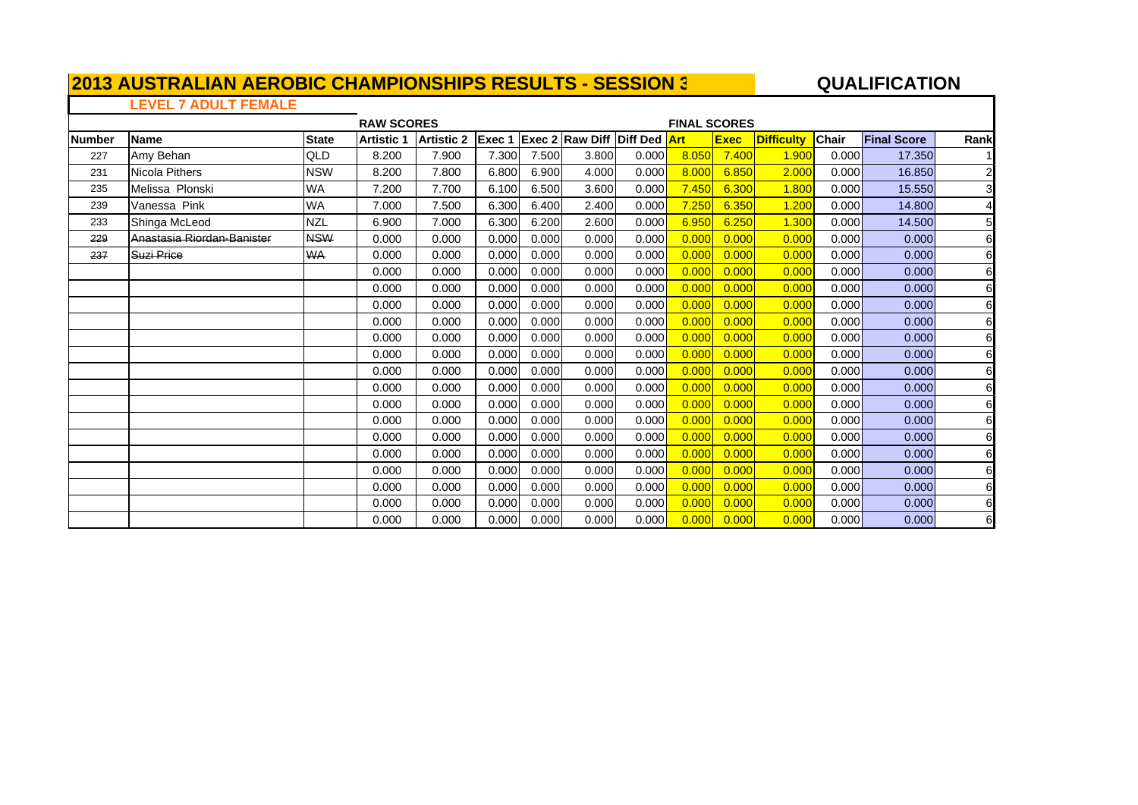#### **QUALIFICATIO N**

### **LEVEL 7 ADULT FEMALE**

|        |                            |              | <b>RAW SCORES</b> |            |        |       |                                     |       | <b>FINAL SCORES</b> |             |                   |              |                    |                |
|--------|----------------------------|--------------|-------------------|------------|--------|-------|-------------------------------------|-------|---------------------|-------------|-------------------|--------------|--------------------|----------------|
| Number | Name                       | <b>State</b> | <b>Artistic 1</b> | Artistic 2 | Exec 1 |       | <b>Exec 2 Raw Diff Diff Ded Art</b> |       |                     | <b>Exec</b> | <b>Difficulty</b> | <b>Chair</b> | <b>Final Score</b> | Rank           |
| 227    | Amy Behan                  | QLD          | 8.200             | 7.900      | 7.300  | 7.500 | 3.800                               | 0.000 | 8.050               | 7.400       | 1.900             | 0.000        | 17.350             |                |
| 231    | <b>Nicola Pithers</b>      | <b>NSW</b>   | 8.200             | 7.800      | 6.800  | 6.900 | 4.000                               | 0.000 | 8.000               | 6.850       | 2.000             | 0.000        | 16.850             | $\overline{2}$ |
| 235    | Melissa Plonski            | <b>WA</b>    | 7.200             | 7.700      | 6.100  | 6.500 | 3.600                               | 0.000 | 7.450               | 6.300       | 1.800             | 0.000        | 15.550             | 3 <sup>l</sup> |
| 239    | Vanessa Pink               | <b>WA</b>    | 7.000             | 7.500      | 6.300  | 6.400 | 2.400                               | 0.000 | 7.250               | 6.350       | 1.200             | 0.000        | 14.800             |                |
| 233    | Shinga McLeod              | <b>NZL</b>   | 6.900             | 7.000      | 6.300  | 6.200 | 2.600                               | 0.000 | 6.950               | 6.250       | 1.300             | 0.000        | 14.500             | 5 <sub>l</sub> |
| 229    | Anastasia Riordan-Banister | <b>NSW</b>   | 0.000             | 0.000      | 0.000  | 0.000 | 0.000                               | 0.000 | 0.000               | 0.000       | 0.000             | 0.000        | 0.000              | 6              |
| 237    | Suzi Price                 | <b>WA</b>    | 0.000             | 0.000      | 0.000  | 0.000 | 0.000                               | 0.000 | 0.000               | 0.000       | 0.000             | 0.000        | 0.000              | 6              |
|        |                            |              | 0.000             | 0.000      | 0.000  | 0.000 | 0.000                               | 0.000 | 0.000               | 0.000       | 0.000             | 0.000        | 0.000              | 6              |
|        |                            |              | 0.000             | 0.000      | 0.000  | 0.000 | 0.000                               | 0.000 | 0.000               | 0.000       | 0.000             | 0.000        | 0.000              | 6              |
|        |                            |              | 0.000             | 0.000      | 0.000  | 0.000 | 0.000                               | 0.000 | 0.000               | 0.000       | 0.000             | 0.000        | 0.000              | 6              |
|        |                            |              | 0.000             | 0.000      | 0.000  | 0.000 | 0.000                               | 0.000 | 0.000               | 0.000       | 0.000             | 0.000        | 0.000              | 6              |
|        |                            |              | 0.000             | 0.000      | 0.000  | 0.000 | 0.000                               | 0.000 | 0.000               | 0.000       | 0.000             | 0.000        | 0.000              | 6              |
|        |                            |              | 0.000             | 0.000      | 0.000  | 0.000 | 0.000                               | 0.000 | 0.000               | 0.000       | 0.000             | 0.000        | 0.000              | 6              |
|        |                            |              | 0.000             | 0.000      | 0.000  | 0.000 | 0.000                               | 0.000 | 0.000               | 0.000       | 0.000             | 0.000        | 0.000              | 6              |
|        |                            |              | 0.000             | 0.000      | 0.000  | 0.000 | 0.000                               | 0.000 | 0.000               | 0.000       | 0.000             | 0.000        | 0.000              | 6              |
|        |                            |              | 0.000             | 0.000      | 0.000  | 0.000 | 0.000                               | 0.000 | 0.000               | 0.000       | 0.000             | 0.000        | 0.000              | 6              |
|        |                            |              | 0.000             | 0.000      | 0.000  | 0.000 | 0.000                               | 0.000 | 0.000               | 0.000       | 0.000             | 0.000        | 0.000              | 6              |
|        |                            |              | 0.000             | 0.000      | 0.000  | 0.000 | 0.000                               | 0.000 | 0.000               | 0.000       | 0.000             | 0.000        | 0.000              | 6              |
|        |                            |              | 0.000             | 0.000      | 0.000  | 0.000 | 0.000                               | 0.000 | 0.000               | 0.000       | 0.000             | 0.000        | 0.000              | 6              |
|        |                            |              | 0.000             | 0.000      | 0.000  | 0.000 | 0.000                               | 0.000 | 0.000               | 0.000       | 0.000             | 0.000        | 0.000              | 6              |
|        |                            |              | 0.000             | 0.000      | 0.000  | 0.000 | 0.000                               | 0.000 | 0.000               | 0.000       | 0.000             | 0.000        | 0.000              | 6              |
|        |                            |              | 0.000             | 0.000      | 0.000  | 0.000 | 0.000                               | 0.000 | 0.000               | 0.000       | 0.000             | 0.000        | 0.000              | 6              |
|        |                            |              | 0.000             | 0.000      | 0.000  | 0.000 | 0.000                               | 0.000 | 0.000               | 0.000       | 0.000             | 0.000        | 0.000              | 6              |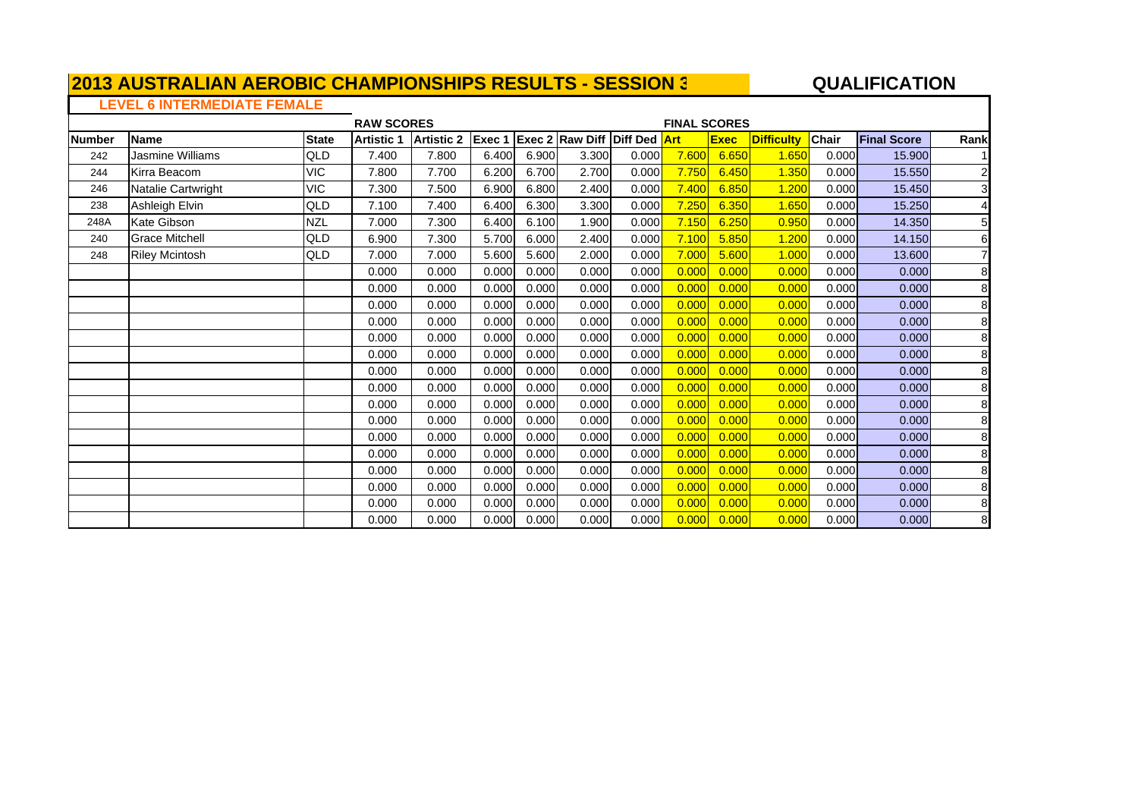#### **QUALIFICATIO N**

# **LEVEL 6 INTERMEDIATE FEMALE**

|        |                       |              | <b>RAW SCORES</b> |                   |        |       |                                     |       | <b>FINAL SCORES</b> |             |                   |              |                    |                |
|--------|-----------------------|--------------|-------------------|-------------------|--------|-------|-------------------------------------|-------|---------------------|-------------|-------------------|--------------|--------------------|----------------|
| Number | <b>Name</b>           | <b>State</b> | <b>Artistic 1</b> | <b>Artistic 2</b> | Exec 1 |       | <b>Exec 2 Raw Diff Diff Ded Art</b> |       |                     | <b>Exec</b> | <b>Difficulty</b> | <b>Chair</b> | <b>Final Score</b> | Rank           |
| 242    | Jasmine Williams      | QLD          | 7.400             | 7.800             | 6.400  | 6.900 | 3.300                               | 0.000 | 7.600               | 6.650       | 1.650             | 0.000        | 15.900             |                |
| 244    | Kirra Beacom          | <b>VIC</b>   | 7.800             | 7.700             | 6.200  | 6.700 | 2.700                               | 0.000 | 7.750               | 6.450       | 1.350             | 0.000        | 15.550             | $\overline{2}$ |
| 246    | Natalie Cartwright    | <b>VIC</b>   | 7.300             | 7.500             | 6.900  | 6.800 | 2.400                               | 0.000 | 7.400               | 6.850       | 1.200             | 0.000        | 15.450             | 3              |
| 238    | Ashleigh Elvin        | QLD          | 7.100             | 7.400             | 6.400  | 6.300 | 3.300                               | 0.000 | 7.250               | 6.350       | 1.650             | 0.000        | 15.250             | 4              |
| 248A   | Kate Gibson           | <b>NZL</b>   | 7.000             | 7.300             | 6.400  | 6.100 | 1.900                               | 0.000 | 7.150               | 6.250       | 0.950             | 0.000        | 14.350             | 5              |
| 240    | <b>Grace Mitchell</b> | QLD          | 6.900             | 7.300             | 5.700  | 6.000 | 2.400                               | 0.000 | 7.100               | 5.850       | 1.200             | 0.000        | 14.150             | 6              |
| 248    | <b>Riley Mcintosh</b> | QLD          | 7.000             | 7.000             | 5.600  | 5.600 | 2.000                               | 0.000 | 7.000               | 5.600       | 1.000             | 0.000        | 13.600             | 7              |
|        |                       |              | 0.000             | 0.000             | 0.000  | 0.000 | 0.000                               | 0.000 | 0.000               | 0.000       | 0.000             | 0.000        | 0.000              | 8              |
|        |                       |              | 0.000             | 0.000             | 0.000  | 0.000 | 0.000                               | 0.000 | 0.000               | 0.000       | 0.000             | 0.000        | 0.000              | 8              |
|        |                       |              | 0.000             | 0.000             | 0.000  | 0.000 | 0.000                               | 0.000 | 0.000               | 0.000       | 0.000             | 0.000        | 0.000              | 8              |
|        |                       |              | 0.000             | 0.000             | 0.000  | 0.000 | 0.000                               | 0.000 | 0.000               | 0.000       | 0.000             | 0.000        | 0.000              | 8              |
|        |                       |              | 0.000             | 0.000             | 0.000  | 0.000 | 0.000                               | 0.000 | 0.000               | 0.000       | 0.000             | 0.000        | 0.000              | 8              |
|        |                       |              | 0.000             | 0.000             | 0.000  | 0.000 | 0.000                               | 0.000 | 0.000               | 0.000       | 0.000             | 0.000        | 0.000              | 8              |
|        |                       |              | 0.000             | 0.000             | 0.000  | 0.000 | 0.000                               | 0.000 | 0.000               | 0.000       | 0.000             | 0.000        | 0.000              | 8              |
|        |                       |              | 0.000             | 0.000             | 0.000  | 0.000 | 0.000                               | 0.000 | 0.000               | 0.000       | 0.000             | 0.000        | 0.000              | 8              |
|        |                       |              | 0.000             | 0.000             | 0.000  | 0.000 | 0.000                               | 0.000 | 0.000               | 0.000       | 0.000             | 0.000        | 0.000              | 8              |
|        |                       |              | 0.000             | 0.000             | 0.000  | 0.000 | 0.000                               | 0.000 | 0.000               | 0.000       | 0.000             | 0.000        | 0.000              | 8              |
|        |                       |              | 0.000             | 0.000             | 0.000  | 0.000 | 0.000                               | 0.000 | 0.000               | 0.000       | 0.000             | 0.000        | 0.000              | 8              |
|        |                       |              | 0.000             | 0.000             | 0.000  | 0.000 | 0.000                               | 0.000 | 0.000               | 0.000       | 0.000             | 0.000        | 0.000              | 8              |
|        |                       |              | 0.000             | 0.000             | 0.000  | 0.000 | 0.000                               | 0.000 | 0.000               | 0.000       | 0.000             | 0.000        | 0.000              | 8              |
|        |                       |              | 0.000             | 0.000             | 0.000  | 0.000 | 0.000                               | 0.000 | 0.000               | 0.000       | 0.000             | 0.000        | 0.000              | 8              |
|        |                       |              | 0.000             | 0.000             | 0.000  | 0.000 | 0.000                               | 0.000 | 0.000               | 0.000       | 0.000             | 0.000        | 0.000              | 8              |
|        |                       |              | 0.000             | 0.000             | 0.000  | 0.000 | 0.000                               | 0.000 | 0.000               | 0.000       | 0.000             | 0.000        | 0.000              | 8              |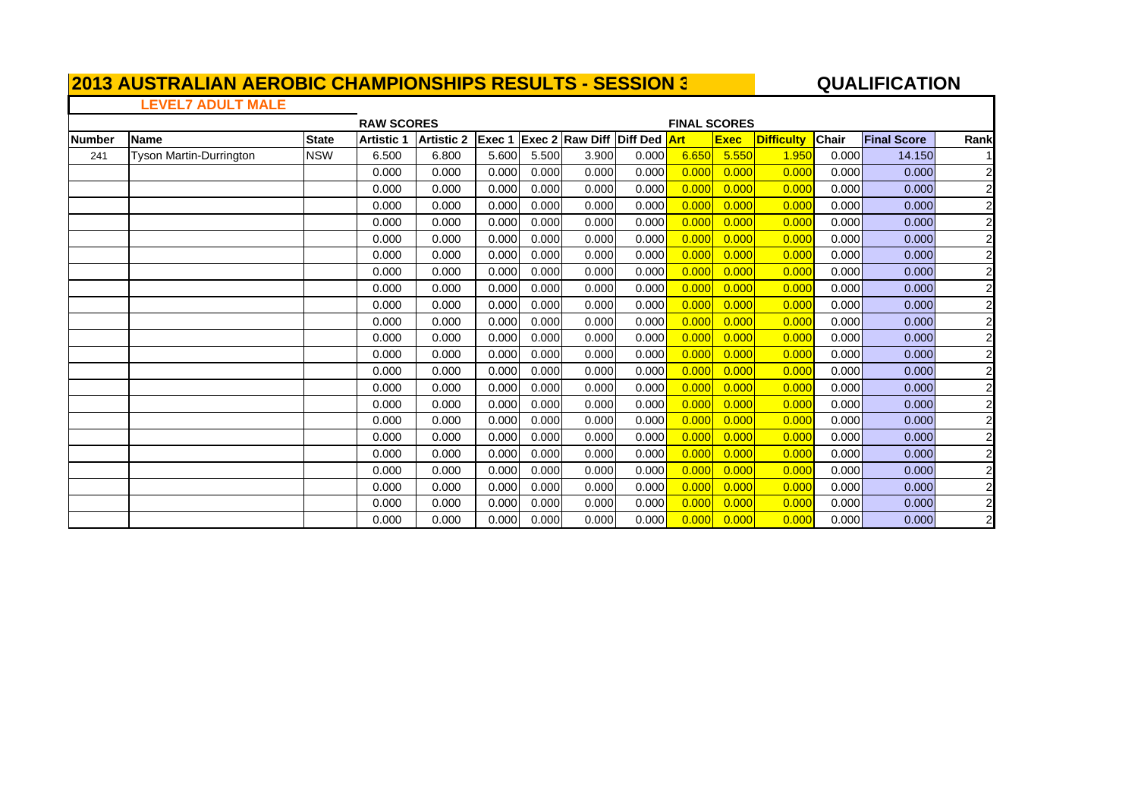#### **QUALIFICATIO N**

#### **LEVEL7 ADULT MALE**

Е

|        |                         |              | <b>RAW SCORES</b> |                   |                |       |                                     |       | <b>FINAL SCORES</b> |             |                   |              |                    |                         |
|--------|-------------------------|--------------|-------------------|-------------------|----------------|-------|-------------------------------------|-------|---------------------|-------------|-------------------|--------------|--------------------|-------------------------|
| Number | <b>Name</b>             | <b>State</b> | <b>Artistic 1</b> | <b>Artistic 2</b> | <b>IExec 1</b> |       | <b>Exec 2 Raw Diff Diff Ded Art</b> |       |                     | <b>Exec</b> | <b>Difficulty</b> | <b>Chair</b> | <b>Final Score</b> | Rank                    |
| 241    | Tyson Martin-Durrington | <b>NSW</b>   | 6.500             | 6.800             | 5.600          | 5.500 | 3.900                               | 0.000 | 6.650               | 5.550       | 1.950             | 0.000        | 14.150             |                         |
|        |                         |              | 0.000             | 0.000             | 0.000          | 0.000 | 0.000                               | 0.000 | 0.000               | 0.000       | 0.000             | 0.000        | 0.000              | 2                       |
|        |                         |              | 0.000             | 0.000             | 0.000          | 0.000 | 0.000                               | 0.000 | 0.000               | 0.000       | 0.000             | 0.000        | 0.000              | $\overline{c}$          |
|        |                         |              | 0.000             | 0.000             | 0.000          | 0.000 | 0.000                               | 0.000 | 0.000               | 0.000       | 0.000             | 0.000        | 0.000              | $\overline{2}$          |
|        |                         |              | 0.000             | 0.000             | 0.000          | 0.000 | 0.000                               | 0.000 | 0.000               | 0.000       | 0.000             | 0.000        | 0.000              | $\overline{c}$          |
|        |                         |              | 0.000             | 0.000             | 0.000          | 0.000 | 0.000                               | 0.000 | 0.000               | 0.000       | 0.000             | 0.000        | 0.000              | $\overline{c}$          |
|        |                         |              | 0.000             | 0.000             | 0.000          | 0.000 | 0.000                               | 0.000 | 0.000               | 0.000       | 0.000             | 0.000        | 0.000              | $\overline{c}$          |
|        |                         |              | 0.000             | 0.000             | 0.000          | 0.000 | 0.000                               | 0.000 | 0.000               | 0.000       | 0.000             | 0.000        | 0.000              | $\overline{c}$          |
|        |                         |              | 0.000             | 0.000             | 0.000          | 0.000 | 0.000                               | 0.000 | 0.000               | 0.000       | 0.000             | 0.000        | 0.000              | $\overline{c}$          |
|        |                         |              | 0.000             | 0.000             | 0.000          | 0.000 | 0.000                               | 0.000 | 0.000               | 0.000       | 0.000             | 0.000        | 0.000              | $\overline{c}$          |
|        |                         |              | 0.000             | 0.000             | 0.000          | 0.000 | 0.000                               | 0.000 | 0.000               | 0.000       | 0.000             | 0.000        | 0.000              | $\overline{c}$          |
|        |                         |              | 0.000             | 0.000             | 0.000          | 0.000 | 0.000                               | 0.000 | 0.000               | 0.000       | 0.000             | 0.000        | 0.000              | $\overline{2}$          |
|        |                         |              | 0.000             | 0.000             | 0.000          | 0.000 | 0.000                               | 0.000 | 0.000               | 0.000       | 0.000             | 0.000        | 0.000              | $\overline{c}$          |
|        |                         |              | 0.000             | 0.000             | 0.000          | 0.000 | 0.000                               | 0.000 | 0.000               | 0.000       | 0.000             | 0.000        | 0.000              | $\overline{c}$          |
|        |                         |              | 0.000             | 0.000             | 0.000          | 0.000 | 0.000                               | 0.000 | 0.000               | 0.000       | 0.000             | 0.000        | 0.000              | $\overline{c}$          |
|        |                         |              | 0.000             | 0.000             | 0.000          | 0.000 | 0.000                               | 0.000 | 0.000               | 0.000       | 0.000             | 0.000        | 0.000              | $\overline{c}$          |
|        |                         |              | 0.000             | 0.000             | 0.000          | 0.000 | 0.000                               | 0.000 | 0.000               | 0.000       | 0.000             | 0.000        | 0.000              | $\overline{2}$          |
|        |                         |              | 0.000             | 0.000             | 0.000          | 0.000 | 0.000                               | 0.000 | 0.000               | 0.000       | 0.000             | 0.000        | 0.000              | $\overline{c}$          |
|        |                         |              | 0.000             | 0.000             | 0.000          | 0.000 | 0.000                               | 0.000 | 0.000               | 0.000       | 0.000             | 0.000        | 0.000              | $\overline{2}$          |
|        |                         |              | 0.000             | 0.000             | 0.000          | 0.000 | 0.000                               | 0.000 | 0.000               | 0.000       | 0.000             | 0.000        | 0.000              | $\overline{2}$          |
|        |                         |              | 0.000             | 0.000             | 0.000          | 0.000 | 0.000                               | 0.000 | 0.000               | 0.000       | 0.000             | 0.000        | 0.000              | $\overline{c}$          |
|        |                         |              | 0.000             | 0.000             | 0.000          | 0.000 | 0.000                               | 0.000 | 0.000               | 0.000       | 0.000             | 0.000        | 0.000              | $\overline{\mathbf{c}}$ |
|        |                         |              | 0.000             | 0.000             | 0.000          | 0.000 | 0.000                               | 0.000 | 0.000               | 0.000       | 0.000             | 0.000        | 0.000              | $\overline{\mathbf{c}}$ |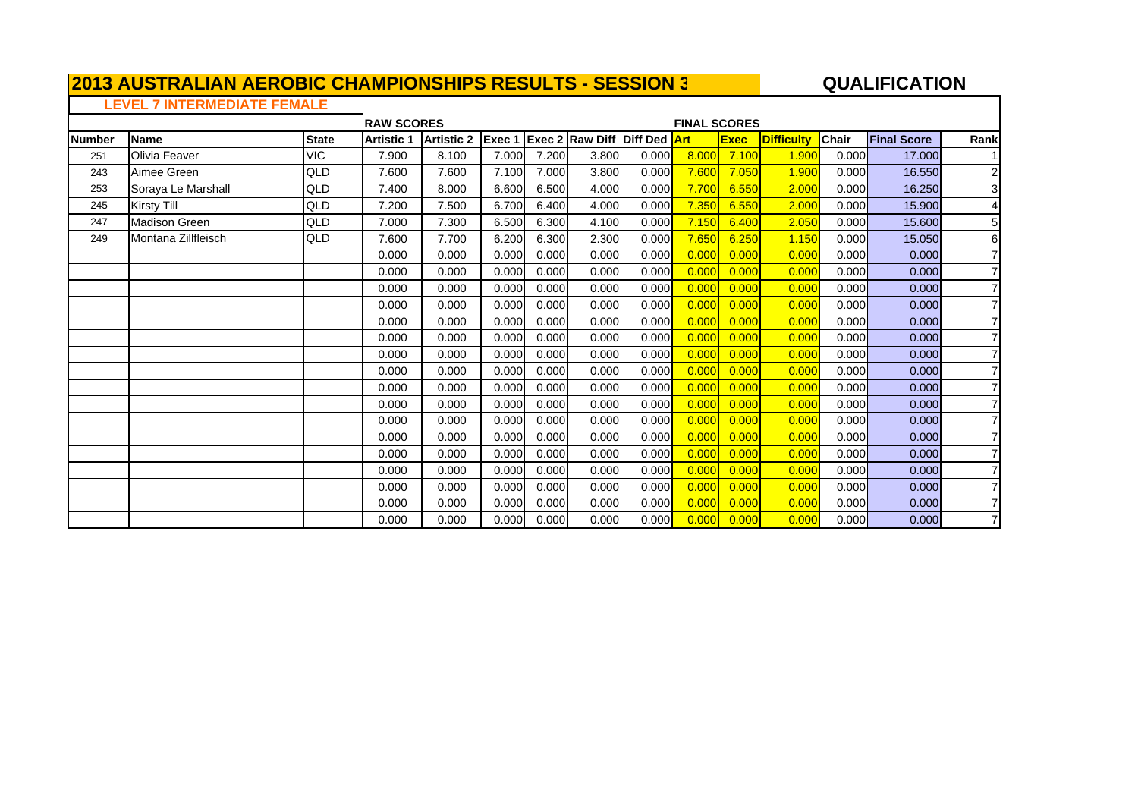#### **2013 AUSTRALIAN AEROBIC CHAMPIONSHIPS RESULTS - SESSION 3** $\mathsf{\Gamma}$

#### **A**  $\overline{a}$  **QUALIFICATION**

### **LEVEL 7 INTERMEDIATE FEMALE**

|               |                     |              | <b>RAW SCORES</b> |                   |        |       |                                     |       | <b>FINAL SCORES</b> |             |                   |              |                    |                |
|---------------|---------------------|--------------|-------------------|-------------------|--------|-------|-------------------------------------|-------|---------------------|-------------|-------------------|--------------|--------------------|----------------|
| <b>Number</b> | <b>Name</b>         | <b>State</b> | <b>Artistic 1</b> | <b>Artistic 2</b> | Exec 1 |       | <b>Exec 2 Raw Diff Diff Ded Art</b> |       |                     | <b>Exec</b> | <b>Difficulty</b> | <b>Chair</b> | <b>Final Score</b> | Rank           |
| 251           | Olivia Feaver       | <b>VIC</b>   | 7.900             | 8.100             | 7.000  | 7.200 | 3.800                               | 0.000 | 8.000               | 7.100       | 1.900             | 0.000        | 17.000             |                |
| 243           | Aimee Green         | QLD          | 7.600             | 7.600             | 7.100  | 7.000 | 3.800                               | 0.000 | 7.600               | 7.050       | 1.900             | 0.000        | 16.550             | $\overline{c}$ |
| 253           | Soraya Le Marshall  | QLD          | 7.400             | 8.000             | 6.600  | 6.500 | 4.000                               | 0.000 | 7.700               | 6.550       | 2.000             | 0.000        | 16.250             | $\overline{3}$ |
| 245           | Kirsty Till         | QLD          | 7.200             | 7.500             | 6.700  | 6.400 | 4.000                               | 0.000 | 7.350               | 6.550       | 2.000             | 0.000        | 15.900             | $\overline{4}$ |
| 247           | Madison Green       | QLD          | 7.000             | 7.300             | 6.500  | 6.300 | 4.100                               | 0.000 | 7.150               | 6.400       | 2.050             | 0.000        | 15.600             | 5              |
| 249           | Montana Zillfleisch | QLD          | 7.600             | 7.700             | 6.200  | 6.300 | 2.300                               | 0.000 | 7.650               | 6.250       | 1.150             | 0.000        | 15.050             | 6              |
|               |                     |              | 0.000             | 0.000             | 0.000  | 0.000 | 0.000                               | 0.000 | 0.000               | 0.000       | 0.000             | 0.000        | 0.000              | $\overline{7}$ |
|               |                     |              | 0.000             | 0.000             | 0.000  | 0.000 | 0.000                               | 0.000 | 0.000               | 0.000       | 0.000             | 0.000        | 0.000              | $\overline{7}$ |
|               |                     |              | 0.000             | 0.000             | 0.000  | 0.000 | 0.000                               | 0.000 | 0.000               | 0.000       | 0.000             | 0.000        | 0.000              |                |
|               |                     |              | 0.000             | 0.000             | 0.000  | 0.000 | 0.000                               | 0.000 | 0.000               | 0.000       | 0.000             | 0.000        | 0.000              |                |
|               |                     |              | 0.000             | 0.000             | 0.000  | 0.000 | 0.000                               | 0.000 | 0.000               | 0.000       | 0.000             | 0.000        | 0.000              | 7              |
|               |                     |              | 0.000             | 0.000             | 0.000  | 0.000 | 0.000                               | 0.000 | 0.000               | 0.000       | 0.000             | 0.000        | 0.000              | $\overline{7}$ |
|               |                     |              | 0.000             | 0.000             | 0.000  | 0.000 | 0.000                               | 0.000 | 0.000               | 0.000       | 0.000             | 0.000        | 0.000              | $\overline{7}$ |
|               |                     |              | 0.000             | 0.000             | 0.000  | 0.000 | 0.000                               | 0.000 | 0.000               | 0.000       | 0.000             | 0.000        | 0.000              | $\overline{7}$ |
|               |                     |              | 0.000             | 0.000             | 0.000  | 0.000 | 0.000                               | 0.000 | 0.000               | 0.000       | 0.000             | 0.000        | 0.000              | $\overline{7}$ |
|               |                     |              | 0.000             | 0.000             | 0.000  | 0.000 | 0.000                               | 0.000 | 0.000               | 0.000       | 0.000             | 0.000        | 0.000              | $\overline{7}$ |
|               |                     |              | 0.000             | 0.000             | 0.000  | 0.000 | 0.000                               | 0.000 | 0.000               | 0.000       | 0.00C             | 0.000        | 0.000              | 7              |
|               |                     |              | 0.000             | 0.000             | 0.000  | 0.000 | 0.000                               | 0.000 | 0.000               | 0.000       | 0.00C             | 0.000        | 0.000              | 7              |
|               |                     |              | 0.000             | 0.000             | 0.000  | 0.000 | 0.000                               | 0.000 | 0.000               | 0.000       | 0.00C             | 0.000        | 0.000              |                |
|               |                     |              | 0.000             | 0.000             | 0.000  | 0.000 | 0.000                               | 0.000 | 0.000               | 0.000       | 0.00C             | 0.000        | 0.000              |                |
|               |                     |              | 0.000             | 0.000             | 0.000  | 0.000 | 0.000                               | 0.000 | 0.000               | 0.000       | 0.000             | 0.000        | 0.000              |                |
|               |                     |              | 0.000             | 0.000             | 0.000  | 0.000 | 0.000                               | 0.000 | 0.000               | 0.000       | 0.000             | 0.000        | 0.000              |                |
|               |                     |              | 0.000             | 0.000             | 0.000  | 0.000 | 0.000                               | 0.000 | 0.000               | 0.000       | 0.000             | 0.000        | 0.000              | $\overline{7}$ |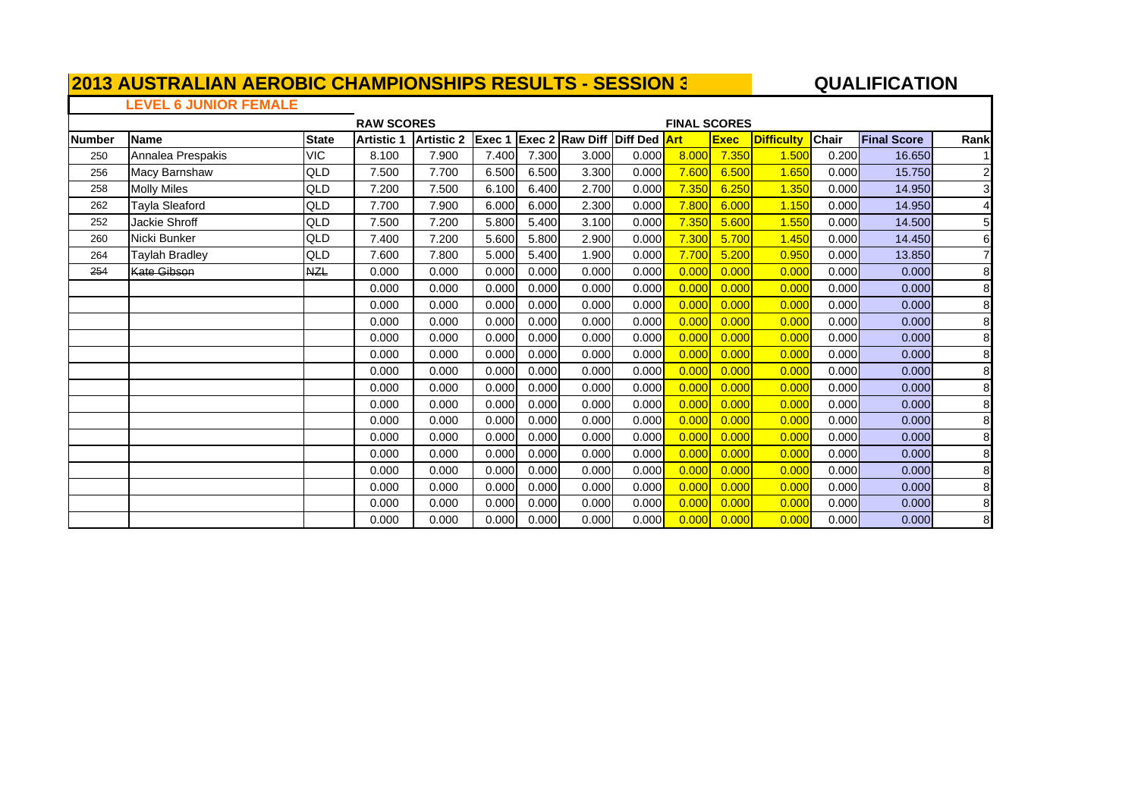#### **QUALIFICATIO N**

### **LEVEL 6 JUNIOR FEMALE**

|               |                    |              | <b>RAW SCORES</b> |                   |        |       |                                     |       | <b>FINAL SCORES</b> |             |                   |       |                    |                         |
|---------------|--------------------|--------------|-------------------|-------------------|--------|-------|-------------------------------------|-------|---------------------|-------------|-------------------|-------|--------------------|-------------------------|
| <b>Number</b> | Name               | <b>State</b> | <b>Artistic 1</b> | <b>Artistic 2</b> | Exec 1 |       | <b>Exec 2 Raw Diff Diff Ded Art</b> |       |                     | <b>Exec</b> | <b>Difficulty</b> | Chair | <b>Final Score</b> | Rank                    |
| 250           | Annalea Prespakis  | <b>VIC</b>   | 8.100             | 7.900             | 7.400  | 7.300 | 3.000                               | 0.000 | 8.000               | 7.350       | 1.500             | 0.200 | 16.650             |                         |
| 256           | Macy Barnshaw      | QLD          | 7.500             | 7.700             | 6.500  | 6.500 | 3.300                               | 0.000 | 7.600               | 6.500       | 1.650             | 0.000 | 15.750             | $\mathbf{2}$            |
| 258           | <b>Molly Miles</b> | QLD          | 7.200             | 7.500             | 6.100  | 6.400 | 2.700                               | 0.000 | 7.350               | 6.250       | 1.350             | 0.000 | 14.950             | $\overline{\mathbf{3}}$ |
| 262           | Tayla Sleaford     | QLD          | 7.700             | 7.900             | 6.000  | 6.000 | 2.300                               | 0.000 | 7.800               | 6.000       | 1.150             | 0.000 | 14.950             | $\overline{4}$          |
| 252           | Jackie Shroff      | QLD          | 7.500             | 7.200             | 5.800  | 5.400 | 3.100                               | 0.000 | 7.350               | 5.600       | 1.550             | 0.000 | 14.500             | 5 <sub>l</sub>          |
| 260           | Nicki Bunker       | QLD          | 7.400             | 7.200             | 5.600  | 5.800 | 2.900                               | 0.000 | 7.300               | 5.700       | 1.450             | 0.000 | 14.450             | 6                       |
| 264           | Taylah Bradley     | QLD          | 7.600             | 7.800             | 5.000  | 5.400 | 1.900                               | 0.000 | 7.700               | 5.200       | 0.950             | 0.000 | 13.850             | 7                       |
| 254           | <b>Kate Gibson</b> | <b>NZL</b>   | 0.000             | 0.000             | 0.000  | 0.000 | 0.000                               | 0.000 | 0.000               | 0.000       | 0.000             | 0.000 | 0.000              | 8                       |
|               |                    |              | 0.000             | 0.000             | 0.000  | 0.000 | 0.000                               | 0.000 | 0.000               | 0.000       | 0.000             | 0.000 | 0.000              | 8                       |
|               |                    |              | 0.000             | 0.000             | 0.000  | 0.000 | 0.000                               | 0.000 | 0.000               | 0.000       | 0.000             | 0.000 | 0.000              | 8                       |
|               |                    |              | 0.000             | 0.000             | 0.000  | 0.000 | 0.000                               | 0.000 | 0.000               | 0.000       | 0.000             | 0.000 | 0.000              | 8                       |
|               |                    |              | 0.000             | 0.000             | 0.000  | 0.000 | 0.000                               | 0.000 | 0.000               | 0.000       | 0.000             | 0.000 | 0.000              | 8                       |
|               |                    |              | 0.000             | 0.000             | 0.000  | 0.000 | 0.000                               | 0.000 | 0.000               | 0.000       | 0.000             | 0.000 | 0.000              | 8                       |
|               |                    |              | 0.000             | 0.000             | 0.000  | 0.000 | 0.000                               | 0.000 | 0.000               | 0.000       | 0.000             | 0.000 | 0.000              | 8                       |
|               |                    |              | 0.000             | 0.000             | 0.000  | 0.000 | 0.000                               | 0.000 | 0.000               | 0.000       | 0.000             | 0.000 | 0.000              | 8                       |
|               |                    |              | 0.000             | 0.000             | 0.000  | 0.000 | 0.000                               | 0.000 | 0.000               | 0.000       | 0.000             | 0.000 | 0.000              | 8                       |
|               |                    |              | 0.000             | 0.000             | 0.000  | 0.000 | 0.000                               | 0.000 | 0.000               | 0.000       | 0.000             | 0.000 | 0.000              | 8                       |
|               |                    |              | 0.000             | 0.000             | 0.000  | 0.000 | 0.000                               | 0.000 | 0.000               | 0.000       | 0.000             | 0.000 | 0.000              | 8                       |
|               |                    |              | 0.000             | 0.000             | 0.000  | 0.000 | 0.000                               | 0.000 | 0.000               | 0.000       | 0.000             | 0.000 | 0.000              | 8                       |
|               |                    |              | 0.000             | 0.000             | 0.000  | 0.000 | 0.000                               | 0.000 | 0.000               | 0.000       | 0.000             | 0.000 | 0.000              | 8                       |
|               |                    |              | 0.000             | 0.000             | 0.000  | 0.000 | 0.000                               | 0.000 | 0.000               | 0.000       | 0.000             | 0.000 | 0.000              | 8                       |
|               |                    |              | 0.000             | 0.000             | 0.000  | 0.000 | 0.000                               | 0.000 | 0.000               | 0.000       | 0.000             | 0.000 | 0.000              | 8                       |
|               |                    |              | 0.000             | 0.000             | 0.000  | 0.000 | 0.000                               | 0.000 | 0.000               | 0.000       | 0.000             | 0.000 | 0.000              | 8                       |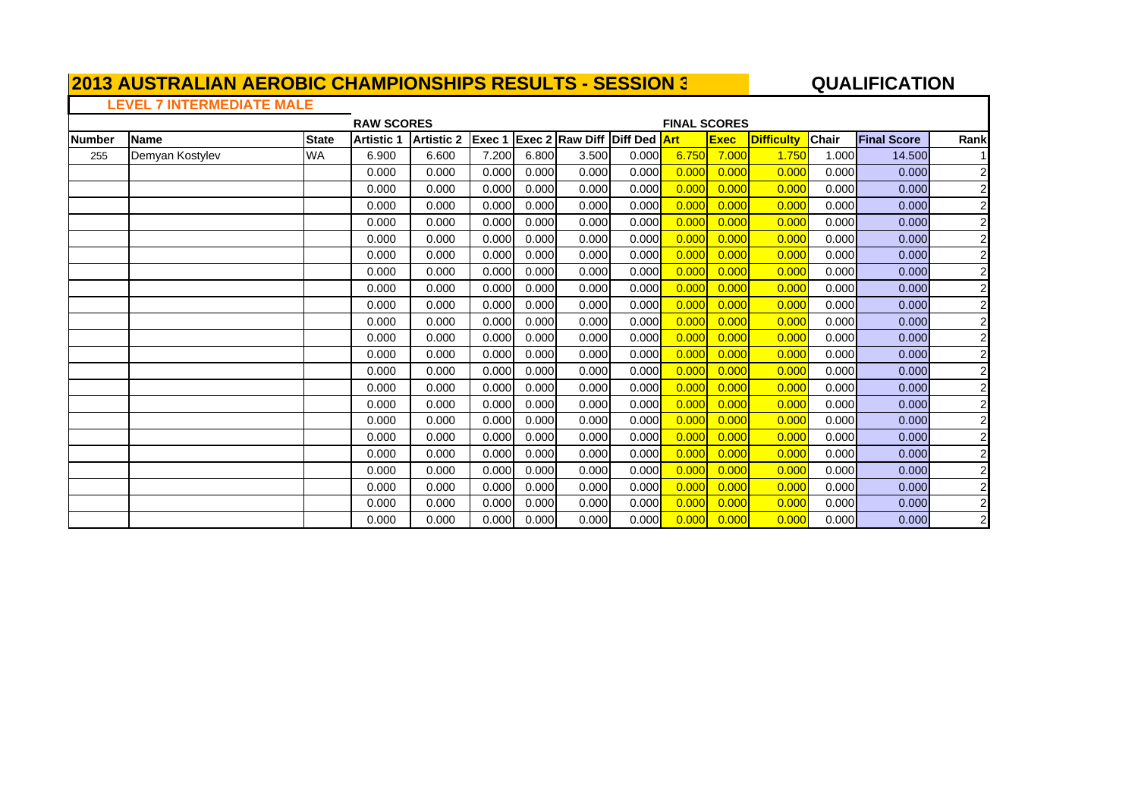#### **QUALIFICATIO N**

# **LEVEL 7 INTERMEDIATE MALE**

|               |                 |              | <b>RAW SCORES</b> |                   |        |       |                                     |       | <b>FINAL SCORES</b> |             |                   |              |                    |                |
|---------------|-----------------|--------------|-------------------|-------------------|--------|-------|-------------------------------------|-------|---------------------|-------------|-------------------|--------------|--------------------|----------------|
| <b>Number</b> | <b>Name</b>     | <b>State</b> | <b>Artistic 1</b> | <b>Artistic 2</b> | Exec 1 |       | <b>Exec 2 Raw Diff Diff Ded Art</b> |       |                     | <b>Exec</b> | <b>Difficulty</b> | <b>Chair</b> | <b>Final Score</b> | Rank           |
| 255           | Demyan Kostylev | WA           | 6.900             | 6.600             | 7.200  | 6.800 | 3.500                               | 0.000 | 6.750               | 7.000       | 1.750             | 1.000        | 14.500             |                |
|               |                 |              | 0.000             | 0.000             | 0.000  | 0.000 | 0.000                               | 0.000 | 0.000               | 0.000       | 0.000             | 0.000        | 0.000              | $\overline{2}$ |
|               |                 |              | 0.000             | 0.000             | 0.000  | 0.000 | 0.000                               | 0.000 | 0.000               | 0.000       | 0.000             | 0.000        | 0.000              | $\overline{2}$ |
|               |                 |              | 0.000             | 0.000             | 0.000  | 0.000 | 0.000                               | 0.000 | 0.000               | 0.000       | 0.000             | 0.000        | 0.000              | $\mathbf{2}$   |
|               |                 |              | 0.000             | 0.000             | 0.000  | 0.000 | 0.000                               | 0.000 | 0.000               | 0.000       | 0.000             | 0.000        | 0.000              | $\overline{2}$ |
|               |                 |              | 0.000             | 0.000             | 0.000  | 0.000 | 0.000                               | 0.000 | 0.000               | 0.000       | 0.000             | 0.000        | 0.000              | $\overline{2}$ |
|               |                 |              | 0.000             | 0.000             | 0.000  | 0.000 | 0.000                               | 0.000 | 0.000               | 0.000       | 0.000             | 0.000        | 0.000              | $\mathbf{2}$   |
|               |                 |              | 0.000             | 0.000             | 0.000  | 0.000 | 0.000                               | 0.000 | 0.000               | 0.000       | 0.000             | 0.000        | 0.000              | $\overline{2}$ |
|               |                 |              | 0.000             | 0.000             | 0.000  | 0.000 | 0.000                               | 0.000 | 0.000               | 0.000       | 0.000             | 0.000        | 0.000              | $\overline{2}$ |
|               |                 |              | 0.000             | 0.000             | 0.000  | 0.000 | 0.000                               | 0.000 | 0.000               | 0.000       | 0.000             | 0.000        | 0.000              | $\overline{2}$ |
|               |                 |              | 0.000             | 0.000             | 0.000  | 0.000 | 0.000                               | 0.000 | 0.000               | 0.000       | 0.000             | 0.000        | 0.000              | $\overline{2}$ |
|               |                 |              | 0.000             | 0.000             | 0.000  | 0.000 | 0.000                               | 0.000 | 0.000               | 0.000       | 0.000             | 0.000        | 0.000              | $\mathbf{2}$   |
|               |                 |              | 0.000             | 0.000             | 0.000  | 0.000 | 0.000                               | 0.000 | 0.000               | 0.000       | 0.000             | 0.000        | 0.000              | $\mathbf{2}$   |
|               |                 |              | 0.000             | 0.000             | 0.000  | 0.000 | 0.000                               | 0.000 | 0.000               | 0.000       | 0.000             | 0.000        | 0.000              | $\overline{2}$ |
|               |                 |              | 0.000             | 0.000             | 0.000  | 0.000 | 0.000                               | 0.000 | 0.000               | 0.000       | 0.000             | 0.000        | 0.000              | $\mathbf{2}$   |
|               |                 |              | 0.000             | 0.000             | 0.000  | 0.000 | 0.000                               | 0.000 | 0.000               | 0.000       | 0.000             | 0.000        | 0.000              | $\mathbf{2}$   |
|               |                 |              | 0.000             | 0.000             | 0.000  | 0.000 | 0.000                               | 0.000 | 0.000               | 0.000       | 0.000             | 0.000        | 0.000              | $\overline{2}$ |
|               |                 |              | 0.000             | 0.000             | 0.000  | 0.000 | 0.000                               | 0.000 | 0.000               | 0.000       | 0.000             | 0.000        | 0.000              | $\mathbf{2}$   |
|               |                 |              | 0.000             | 0.000             | 0.000  | 0.000 | 0.000                               | 0.000 | 0.000               | 0.000       | 0.000             | 0.000        | 0.000              | $\mathbf{2}$   |
|               |                 |              | 0.000             | 0.000             | 0.000  | 0.000 | 0.000                               | 0.000 | 0.000               | 0.000       | 0.000             | 0.000        | 0.000              | $\mathbf{2}$   |
|               |                 |              | 0.000             | 0.000             | 0.000  | 0.000 | 0.000                               | 0.000 | 0.000               | 0.000       | 0.000             | 0.000        | 0.000              | $\overline{2}$ |
|               |                 |              | 0.000             | 0.000             | 0.000  | 0.000 | 0.000                               | 0.000 | 0.000               | 0.000       | 0.000             | 0.000        | 0.000              | $\mathbf{2}$   |
|               |                 |              | 0.000             | 0.000             | 0.000  | 0.000 | 0.000                               | 0.000 | 0.000               | 0.000       | 0.000             | 0.000        | 0.000              | $\mathbf{2}$   |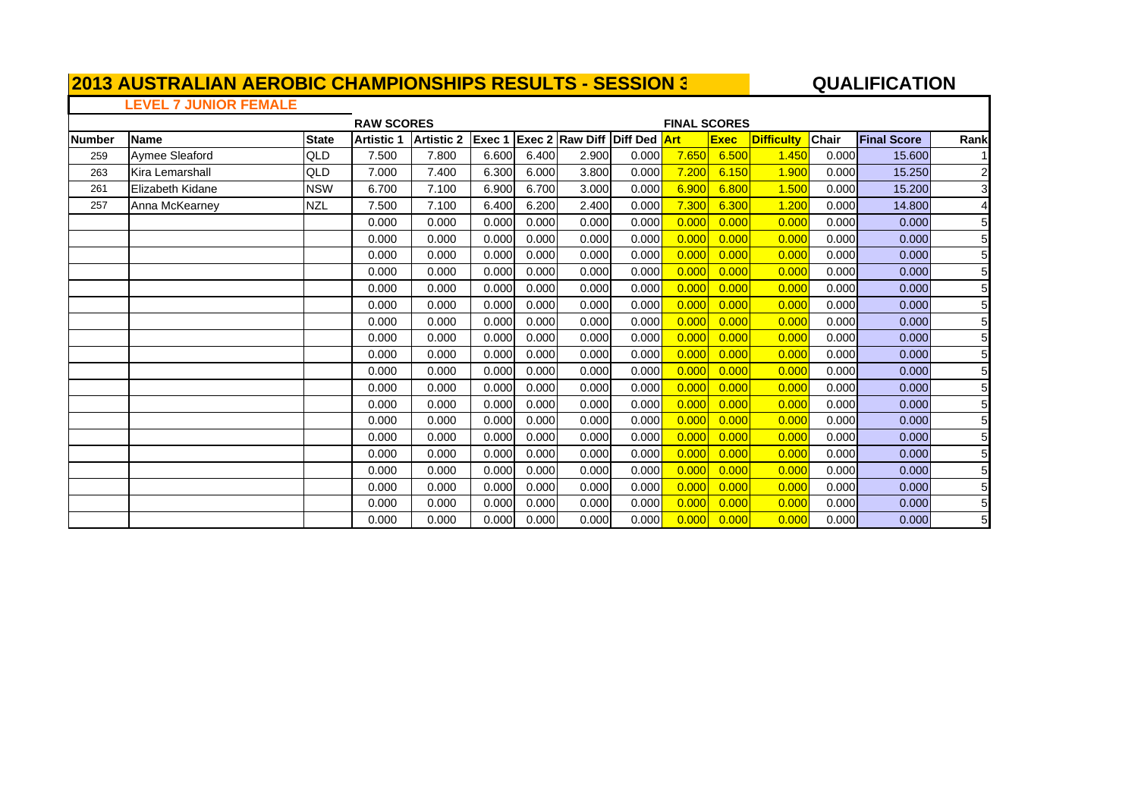#### **QUALIFICATIO N**

### **LEVEL 7 JUNIOR FEMALE**

|               |                        |              | <b>RAW SCORES</b> |                   |        |       |                                     |       | <b>FINAL SCORES</b> |             |                   |              |                    |                 |
|---------------|------------------------|--------------|-------------------|-------------------|--------|-------|-------------------------------------|-------|---------------------|-------------|-------------------|--------------|--------------------|-----------------|
| <b>Number</b> | <b>Name</b>            | <b>State</b> | <b>Artistic 1</b> | <b>Artistic 2</b> | Exec 1 |       | <b>Exec 2 Raw Diff Diff Ded Art</b> |       |                     | <b>Exec</b> | <b>Difficulty</b> | <b>Chair</b> | <b>Final Score</b> | Rank            |
| 259           | Aymee Sleaford         | QLD          | 7.500             | 7.800             | 6.600  | 6.400 | 2.900                               | 0.000 | 7.650               | 6.500       | 1.450             | 0.000        | 15.600             |                 |
| 263           | <b>Kira Lemarshall</b> | <b>QLD</b>   | 7.000             | 7.400             | 6.300  | 6.000 | 3.800                               | 0.000 | 7.200               | 6.150       | 1.900             | 0.000        | 15.250             | $\overline{2}$  |
| 261           | Elizabeth Kidane       | <b>NSW</b>   | 6.700             | 7.100             | 6.900  | 6.700 | 3.000                               | 0.000 | 6.900               | 6.800       | 1.500             | 0.000        | 15.200             | 3               |
| 257           | Anna McKearney         | <b>NZL</b>   | 7.500             | 7.100             | 6.400  | 6.200 | 2.400                               | 0.000 | 7.300               | 6.300       | 1.200             | 0.000        | 14.800             | 4               |
|               |                        |              | 0.000             | 0.000             | 0.000  | 0.000 | 0.000                               | 0.000 | 0.000               | 0.000       | 0.000             | 0.000        | 0.000              | 5               |
|               |                        |              | 0.000             | 0.000             | 0.000  | 0.000 | 0.000                               | 0.000 | 0.000               | 0.000       | 0.000             | 0.000        | 0.000              | 5               |
|               |                        |              | 0.000             | 0.000             | 0.000  | 0.000 | 0.000                               | 0.000 | 0.000               | 0.000       | 0.000             | 0.000        | 0.000              | 5               |
|               |                        |              | 0.000             | 0.000             | 0.000  | 0.000 | 0.000                               | 0.000 | 0.000               | 0.000       | 0.000             | 0.000        | 0.000              | 5               |
|               |                        |              | 0.000             | 0.000             | 0.000  | 0.000 | 0.000                               | 0.000 | 0.000               | 0.000       | 0.000             | 0.000        | 0.000              | 5               |
|               |                        |              | 0.000             | 0.000             | 0.000  | 0.000 | 0.000                               | 0.000 | 0.000               | 0.000       | 0.000             | 0.000        | 0.000              | 5               |
|               |                        |              | 0.000             | 0.000             | 0.000  | 0.000 | 0.000                               | 0.000 | 0.000               | 0.000       | 0.000             | 0.000        | 0.000              | 5               |
|               |                        |              | 0.000             | 0.000             | 0.000  | 0.000 | 0.000                               | 0.000 | 0.000               | 0.000       | 0.000             | 0.000        | 0.000              | 5               |
|               |                        |              | 0.000             | 0.000             | 0.000  | 0.000 | 0.000                               | 0.000 | 0.000               | 0.000       | 0.000             | 0.000        | 0.000              | $5\phantom{.0}$ |
|               |                        |              | 0.000             | 0.000             | 0.000  | 0.000 | 0.000                               | 0.000 | 0.000               | 0.000       | 0.000             | 0.000        | 0.000              | 5               |
|               |                        |              | 0.000             | 0.000             | 0.000  | 0.000 | 0.000                               | 0.000 | 0.000               | 0.000       | 0.000             | 0.000        | 0.000              | 5               |
|               |                        |              | 0.000             | 0.000             | 0.000  | 0.000 | 0.000                               | 0.000 | 0.000               | 0.000       | 0.000             | 0.000        | 0.000              | 5               |
|               |                        |              | 0.000             | 0.000             | 0.000  | 0.000 | 0.000                               | 0.000 | 0.000               | 0.000       | 0.000             | 0.000        | 0.000              | 5               |
|               |                        |              | 0.000             | 0.000             | 0.000  | 0.000 | 0.000                               | 0.000 | 0.000               | 0.000       | 0.000             | 0.000        | 0.000              | 5               |
|               |                        |              | 0.000             | 0.000             | 0.000  | 0.000 | 0.000                               | 0.000 | 0.000               | 0.000       | 0.000             | 0.000        | 0.000              | 5               |
|               |                        |              | 0.000             | 0.000             | 0.000  | 0.000 | 0.000                               | 0.000 | 0.000               | 0.000       | 0.000             | 0.000        | 0.000              | 5               |
|               |                        |              | 0.000             | 0.000             | 0.000  | 0.000 | 0.000                               | 0.000 | 0.000               | 0.000       | 0.000             | 0.000        | 0.000              | 5               |
|               |                        |              | 0.000             | 0.000             | 0.000  | 0.000 | 0.000                               | 0.000 | 0.000               | 0.000       | 0.000             | 0.000        | 0.000              | 5               |
|               |                        |              | 0.000             | 0.000             | 0.000  | 0.000 | 0.000                               | 0.000 | 0.0001              | 0.000       | 0.000             | 0.000        | 0.000              | 5               |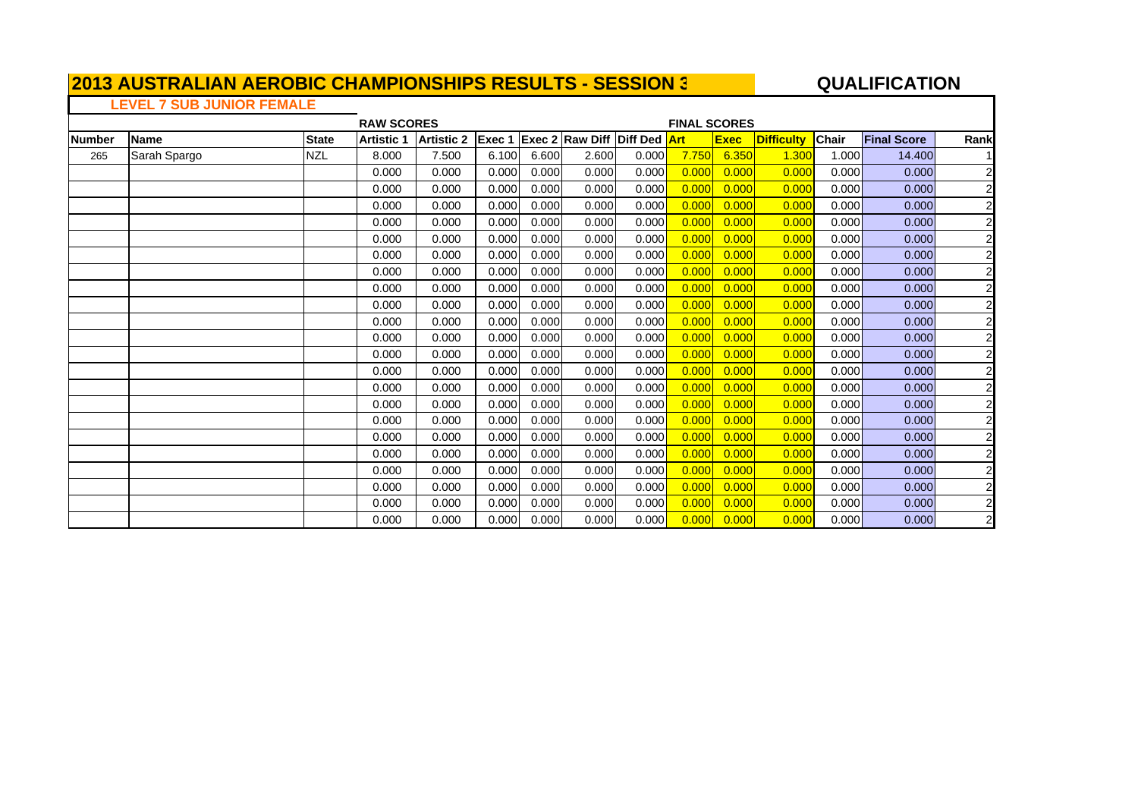#### **QUALIFICATION**

### **LEVEL 7 SUB JUNIOR FEMALE**

|               |              |              | <b>RAW SCORES</b> |                   |        |       |                                     |       | <b>FINAL SCORES</b> |             |                   |       |                    |                |
|---------------|--------------|--------------|-------------------|-------------------|--------|-------|-------------------------------------|-------|---------------------|-------------|-------------------|-------|--------------------|----------------|
| <b>Number</b> | Name         | <b>State</b> | <b>Artistic 1</b> | <b>Artistic 2</b> | Exec 1 |       | <b>Exec 2 Raw Diff Diff Ded Art</b> |       |                     | <b>Exec</b> | <b>Difficulty</b> | Chair | <b>Final Score</b> | Rank           |
| 265           | Sarah Spargo | <b>NZL</b>   | 8.000             | 7.500             | 6.100  | 6.600 | 2.600                               | 0.000 | 7.750               | 6.350       | 1.300             | 1.000 | 14,400             |                |
|               |              |              | 0.000             | 0.000             | 0.000  | 0.000 | 0.000                               | 0.000 | 0.000               | 0.000       | 0.000             | 0.000 | 0.000              | $\overline{2}$ |
|               |              |              | 0.000             | 0.000             | 0.000  | 0.000 | 0.000                               | 0.000 | 0.000               | 0.000       | 0.00C             | 0.000 | 0.000              |                |
|               |              |              | 0.000             | 0.000             | 0.000  | 0.000 | 0.000                               | 0.000 | 0.000               | 0.000       | 0.000             | 0.000 | 0.000              | $\mathsf{2}$   |
|               |              |              | 0.000             | 0.000             | 0.000  | 0.000 | 0.000                               | 0.000 | 0.000               | 0.000       | 0.00C             | 0.000 | 0.000              | $\overline{2}$ |
|               |              |              | 0.000             | 0.000             | 0.000  | 0.000 | 0.000                               | 0.000 | 0.000               | 0.000       | 0.000             | 0.000 | 0.000              | $\overline{a}$ |
|               |              |              | 0.000             | 0.000             | 0.000  | 0.000 | 0.000                               | 0.000 | 0.000               | 0.000       | 0.00C             | 0.000 | 0.000              | $\overline{2}$ |
|               |              |              | 0.000             | 0.000             | 0.000  | 0.000 | 0.000                               | 0.000 | 0.000               | 0.000       | 0.000             | 0.000 | 0.000              | $\overline{2}$ |
|               |              |              | 0.000             | 0.000             | 0.000  | 0.000 | 0.000                               | 0.000 | 0.000               | 0.000       | 0.000             | 0.000 | 0.000              | 2              |
|               |              |              | 0.000             | 0.000             | 0.000  | 0.000 | 0.000                               | 0.000 | 0.000               | 0.000       | 0.000             | 0.000 | 0.000              | $\overline{2}$ |
|               |              |              | 0.000             | 0.000             | 0.000  | 0.000 | 0.000                               | 0.000 | 0.000               | 0.000       | 0.000             | 0.000 | 0.000              |                |
|               |              |              | 0.000             | 0.000             | 0.000  | 0.000 | 0.000                               | 0.000 | 0.000               | 0.000       | 0.000             | 0.000 | 0.000              | 2              |
|               |              |              | 0.000             | 0.000             | 0.000  | 0.000 | 0.000                               | 0.000 | 0.000               | 0.000       | 0.000             | 0.000 | 0.000              |                |
|               |              |              | 0.000             | 0.000             | 0.000  | 0.000 | 0.000                               | 0.000 | 0.000               | 0.000       | 0.000             | 0.000 | 0.000              | $\overline{2}$ |
|               |              |              | 0.000             | 0.000             | 0.000  | 0.000 | 0.000                               | 0.000 | 0.000               | 0.000       | 0.000             | 0.000 | 0.000              | 2              |
|               |              |              | 0.000             | 0.000             | 0.000  | 0.000 | 0.000                               | 0.000 | 0.000               | 0.000       | 0.00C             | 0.000 | 0.000              | $\overline{2}$ |
|               |              |              | 0.000             | 0.000             | 0.000  | 0.000 | 0.000                               | 0.000 | 0.000               | 0.000       | 0.00C             | 0.000 | 0.000              | 2              |
|               |              |              | 0.000             | 0.000             | 0.000  | 0.000 | 0.000                               | 0.000 | 0.000               | 0.000       | 0.00C             | 0.000 | 0.000              | 2              |
|               |              |              | 0.000             | 0.000             | 0.000  | 0.000 | 0.000                               | 0.000 | 0.000               | 0.000       | 0.00C             | 0.000 | 0.000              | 2              |
|               |              |              | 0.000             | 0.000             | 0.000  | 0.000 | 0.000                               | 0.000 | 0.000               | 0.000       | 0.00C             | 0.000 | 0.000              | $\overline{2}$ |
|               |              |              | 0.000             | 0.000             | 0.000  | 0.000 | 0.000                               | 0.000 | 0.000               | 0.000       | 0.00C             | 0.000 | 0.000              | 2              |
|               |              |              | 0.000             | 0.000             | 0.000  | 0.000 | 0.000                               | 0.000 | 0.000               | 0.000       | 0.000             | 0.000 | 0.000              | $\overline{2}$ |
|               |              |              | 0.000             | 0.000             | 0.000  | 0.000 | 0.000                               | 0.000 | 0.000               | 0.000       | 0.000             | 0.000 | 0.000              | $\overline{a}$ |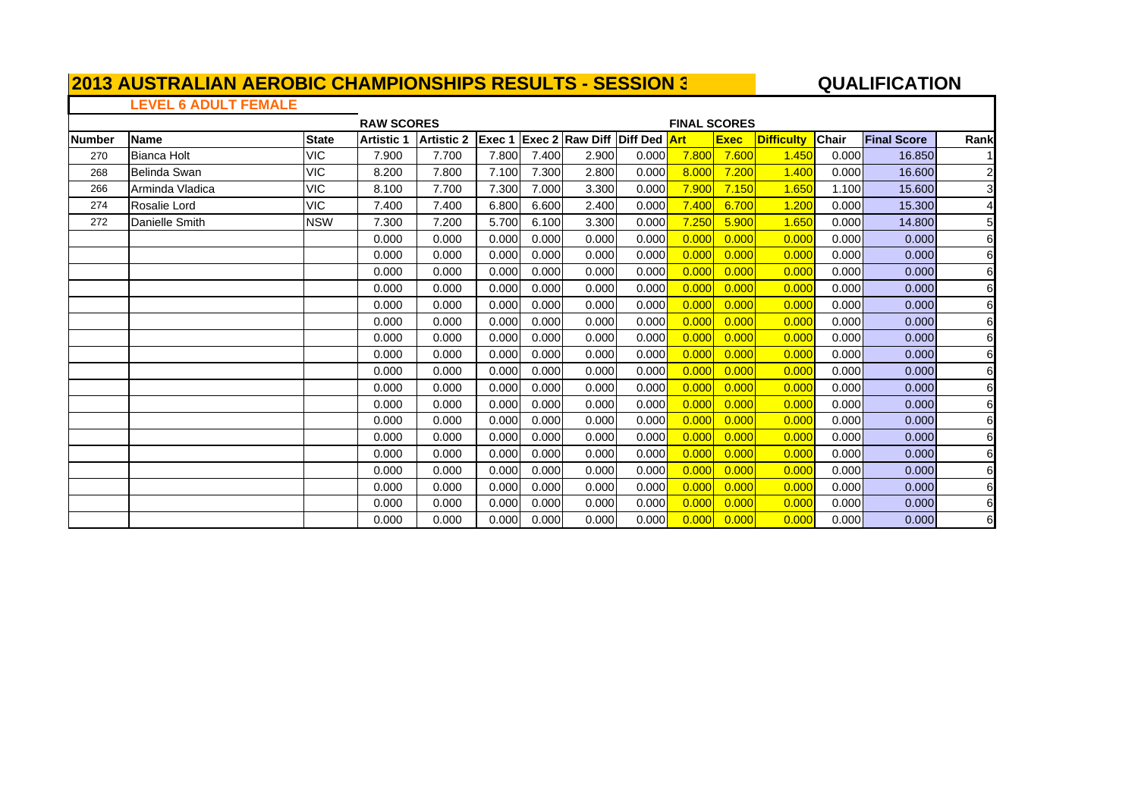#### **A**  $\overline{a}$  **QUALIFICATION**

### **LEVEL 6 ADULT FEMALE**

|               |                    |              | <b>RAW SCORES</b> |                   |        |       |                                     |       | <b>FINAL SCORES</b> |             |                   |              |                    |                |
|---------------|--------------------|--------------|-------------------|-------------------|--------|-------|-------------------------------------|-------|---------------------|-------------|-------------------|--------------|--------------------|----------------|
| <b>Number</b> | Name               | <b>State</b> | <b>Artistic 1</b> | <b>Artistic 2</b> | Exec 1 |       | <b>Exec 2 Raw Diff Diff Ded Art</b> |       |                     | <b>Exec</b> | <b>Difficulty</b> | <b>Chair</b> | <b>Final Score</b> | Rank           |
| 270           | <b>Bianca Holt</b> | <b>VIC</b>   | 7.900             | 7.700             | 7.800  | 7.400 | 2.900                               | 0.000 | 7.800               | 7.600       | 1.450             | 0.000        | 16.850             |                |
| 268           | Belinda Swan       | <b>VIC</b>   | 8.200             | 7.800             | 7.100  | 7.300 | 2.800                               | 0.000 | 8.000               | 7.200       | 1.400             | 0.000        | 16.600             | $\overline{2}$ |
| 266           | Arminda Vladica    | VIC          | 8.100             | 7.700             | 7.300  | 7.000 | 3.300                               | 0.000 | 7.900               | 7.150       | 1.650             | 1.100        | 15.600             | 3              |
| 274           | Rosalie Lord       | VIC          | 7.400             | 7.400             | 6.800  | 6.600 | 2.400                               | 0.000 | 7.400               | 6.700       | 1.200             | 0.000        | 15.300             | 4              |
| 272           | Danielle Smith     | <b>NSW</b>   | 7.300             | 7.200             | 5.700  | 6.100 | 3.300                               | 0.000 | 7.250               | 5.900       | 1.650             | 0.000        | 14.800             | 5              |
|               |                    |              | 0.000             | 0.000             | 0.000  | 0.000 | 0.000                               | 0.000 | 0.000               | 0.000       | 0.000             | 0.000        | 0.000              | 6              |
|               |                    |              | 0.000             | 0.000             | 0.000  | 0.000 | 0.000                               | 0.000 | 0.000               | 0.000       | 0.000             | 0.000        | 0.000              | 6              |
|               |                    |              | 0.000             | 0.000             | 0.000  | 0.000 | 0.000                               | 0.000 | 0.000               | 0.000       | 0.000             | 0.000        | 0.000              | 6              |
|               |                    |              | 0.000             | 0.000             | 0.000  | 0.000 | 0.000                               | 0.000 | 0.000               | 0.000       | 0.000             | 0.000        | 0.000              | 6              |
|               |                    |              | 0.000             | 0.000             | 0.000  | 0.000 | 0.000                               | 0.000 | 0.000               | 0.000       | 0.000             | 0.000        | 0.000              | 6              |
|               |                    |              | 0.000             | 0.000             | 0.000  | 0.000 | 0.000                               | 0.000 | 0.000               | 0.000       | 0.000             | 0.000        | 0.000              | 6              |
|               |                    |              | 0.000             | 0.000             | 0.000  | 0.000 | 0.000                               | 0.000 | 0.000               | 0.000       | 0.000             | 0.000        | 0.000              | 6              |
|               |                    |              | 0.000             | 0.000             | 0.000  | 0.000 | 0.000                               | 0.000 | 0.000               | 0.000       | 0.000             | 0.000        | 0.000              | 6              |
|               |                    |              | 0.000             | 0.000             | 0.000  | 0.000 | 0.000                               | 0.000 | 0.000               | 0.000       | 0.000             | 0.000        | 0.000              | 6              |
|               |                    |              | 0.000             | 0.000             | 0.000  | 0.000 | 0.000                               | 0.000 | 0.000               | 0.000       | 0.000             | 0.000        | 0.000              | 6              |
|               |                    |              | 0.000             | 0.000             | 0.000  | 0.000 | 0.000                               | 0.000 | 0.000               | 0.000       | 0.000             | 0.000        | 0.000              | 6              |
|               |                    |              | 0.000             | 0.000             | 0.000  | 0.000 | 0.000                               | 0.000 | 0.000               | 0.000       | 0.00C             | 0.000        | 0.000              | 6              |
|               |                    |              | 0.000             | 0.000             | 0.000  | 0.000 | 0.000                               | 0.000 | 0.000               | 0.000       | 0.000             | 0.000        | 0.000              | 6              |
|               |                    |              | 0.000             | 0.000             | 0.000  | 0.000 | 0.000                               | 0.000 | 0.000               | 0.000       | 0.000             | 0.000        | 0.000              | 6              |
|               |                    |              | 0.000             | 0.000             | 0.000  | 0.000 | 0.000                               | 0.000 | 0.000               | 0.000       | 0.000             | 0.000        | 0.000              | 6              |
|               |                    |              | 0.000             | 0.000             | 0.000  | 0.000 | 0.000                               | 0.000 | 0.000               | 0.000       | 0.000             | 0.000        | 0.000              | 6              |
|               |                    |              | 0.000             | 0.000             | 0.000  | 0.000 | 0.000                               | 0.000 | 0.000               | 0.000       | 0.000             | 0.000        | 0.000              | 6              |
|               |                    |              | 0.000             | 0.000             | 0.000  | 0.000 | 0.000                               | 0.000 | 0.000               | 0.000       | 0.000             | 0.000        | 0.000              | $\,6$          |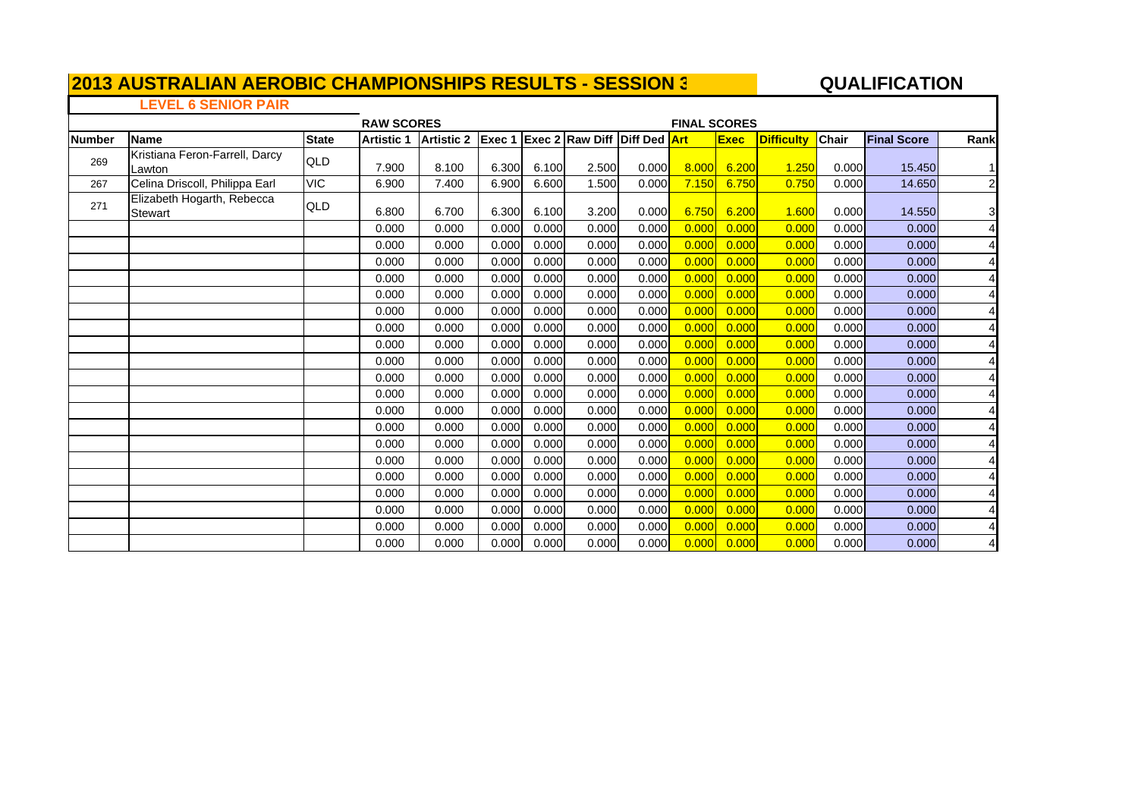#### **A**  $\overline{a}$  **QUALIFICATION**

 $\mathbf{I}$ 

### **LEVEL 6 SENIOR PAIR**

|               |                                          |              | <b>RAW SCORES</b><br><b>FINAL SCORES</b> |                   |        |       |                                     |       |       |             |                   |       |                    |                |
|---------------|------------------------------------------|--------------|------------------------------------------|-------------------|--------|-------|-------------------------------------|-------|-------|-------------|-------------------|-------|--------------------|----------------|
| <b>Number</b> | Name                                     | <b>State</b> | <b>Artistic 1</b>                        | <b>Artistic 2</b> | Exec 1 |       | <b>Exec 2 Raw Diff Diff Ded Art</b> |       |       | <b>Exec</b> | <b>Difficulty</b> | Chair | <b>Final Score</b> | Rank           |
| 269           | Kristiana Feron-Farrell, Darcy<br>Lawton | QLD          | 7.900                                    | 8.100             | 6.300  | 6.100 | 2.500                               | 0.000 | 8.000 | 6.200       | 1.250             | 0.000 | 15.450             | 1              |
| 267           | Celina Driscoll, Philippa Earl           | <b>VIC</b>   | 6.900                                    | 7.400             | 6.900  | 6.600 | 1.500                               | 0.000 | 7.150 | 6.750       | 0.750             | 0.000 | 14.650             | $\overline{2}$ |
| 271           | Elizabeth Hogarth, Rebecca<br>Stewart    | QLD          | 6.800                                    | 6.700             | 6.300  | 6.100 | 3.200                               | 0.000 | 6.750 | 6.200       | 1.600             | 0.000 | 14.550             | 3              |
|               |                                          |              | 0.000                                    | 0.000             | 0.000  | 0.000 | 0.000                               | 0.000 | 0.000 | 0.000       | 0.000             | 0.000 | 0.000              | 4              |
|               |                                          |              | 0.000                                    | 0.000             | 0.000  | 0.000 | 0.000                               | 0.000 | 0.000 | 0.000       | 0.000             | 0.000 | 0.000              | 4              |
|               |                                          |              | 0.000                                    | 0.000             | 0.000  | 0.000 | 0.000                               | 0.000 | 0.000 | 0.000       | 0.000             | 0.000 | 0.000              | 4              |
|               |                                          |              | 0.000                                    | 0.000             | 0.000  | 0.000 | 0.000                               | 0.000 | 0.000 | 0.000       | 0.000             | 0.000 | 0.000              | 4              |
|               |                                          |              | 0.000                                    | 0.000             | 0.000  | 0.000 | 0.000                               | 0.000 | 0.000 | 0.000       | 0.000             | 0.000 | 0.000              | 4              |
|               |                                          |              | 0.000                                    | 0.000             | 0.000  | 0.000 | 0.000                               | 0.000 | 0.000 | 0.000       | 0.000             | 0.000 | 0.000              |                |
|               |                                          |              | 0.000                                    | 0.000             | 0.000  | 0.000 | 0.000                               | 0.000 | 0.000 | 0.000       | 0.000             | 0.000 | 0.000              | 4              |
|               |                                          |              | 0.000                                    | 0.000             | 0.000  | 0.000 | 0.000                               | 0.000 | 0.000 | 0.000       | 0.000             | 0.000 | 0.000              | 4              |
|               |                                          |              | 0.000                                    | 0.000             | 0.000  | 0.000 | 0.000                               | 0.000 | 0.000 | 0.000       | 0.000             | 0.000 | 0.000              | 4              |
|               |                                          |              | 0.000                                    | 0.000             | 0.000  | 0.000 | 0.000                               | 0.000 | 0.000 | 0.000       | 0.000             | 0.000 | 0.000              | 4              |
|               |                                          |              | 0.000                                    | 0.000             | 0.000  | 0.000 | 0.000                               | 0.000 | 0.000 | 0.000       | 0.000             | 0.000 | 0.000              | 4              |
|               |                                          |              | 0.000                                    | 0.000             | 0.000  | 0.000 | 0.000                               | 0.000 | 0.000 | 0.000       | 0.000             | 0.000 | 0.000              |                |
|               |                                          |              | 0.000                                    | 0.000             | 0.000  | 0.000 | 0.000                               | 0.000 | 0.000 | 0.000       | 0.000             | 0.000 | 0.000              | 4              |
|               |                                          |              | 0.000                                    | 0.000             | 0.000  | 0.000 | 0.000                               | 0.000 | 0.000 | 0.000       | 0.000             | 0.000 | 0.000              | 4              |
|               |                                          |              | 0.000                                    | 0.000             | 0.000  | 0.000 | 0.000                               | 0.000 | 0.000 | 0.000       | 0.000             | 0.000 | 0.000              | 4              |
|               |                                          |              | 0.000                                    | 0.000             | 0.000  | 0.000 | 0.000                               | 0.000 | 0.000 | 0.000       | 0.000             | 0.000 | 0.000              | 4              |
|               |                                          |              | 0.000                                    | 0.000             | 0.000  | 0.000 | 0.000                               | 0.000 | 0.000 | 0.000       | 0.000             | 0.000 | 0.000              |                |
|               |                                          |              | 0.000                                    | 0.000             | 0.000  | 0.000 | 0.000                               | 0.000 | 0.000 | 0.000       | 0.000             | 0.000 | 0.000              |                |
|               |                                          |              | 0.000                                    | 0.000             | 0.000  | 0.000 | 0.000                               | 0.000 | 0.000 | 0.000       | 0.000             | 0.000 | 0.000              | $\overline{4}$ |
|               |                                          |              | 0.000                                    | 0.000             | 0.000  | 0.000 | 0.000                               | 0.000 | 0.000 | 0.000       | 0.000             | 0.000 | 0.000              | $\overline{4}$ |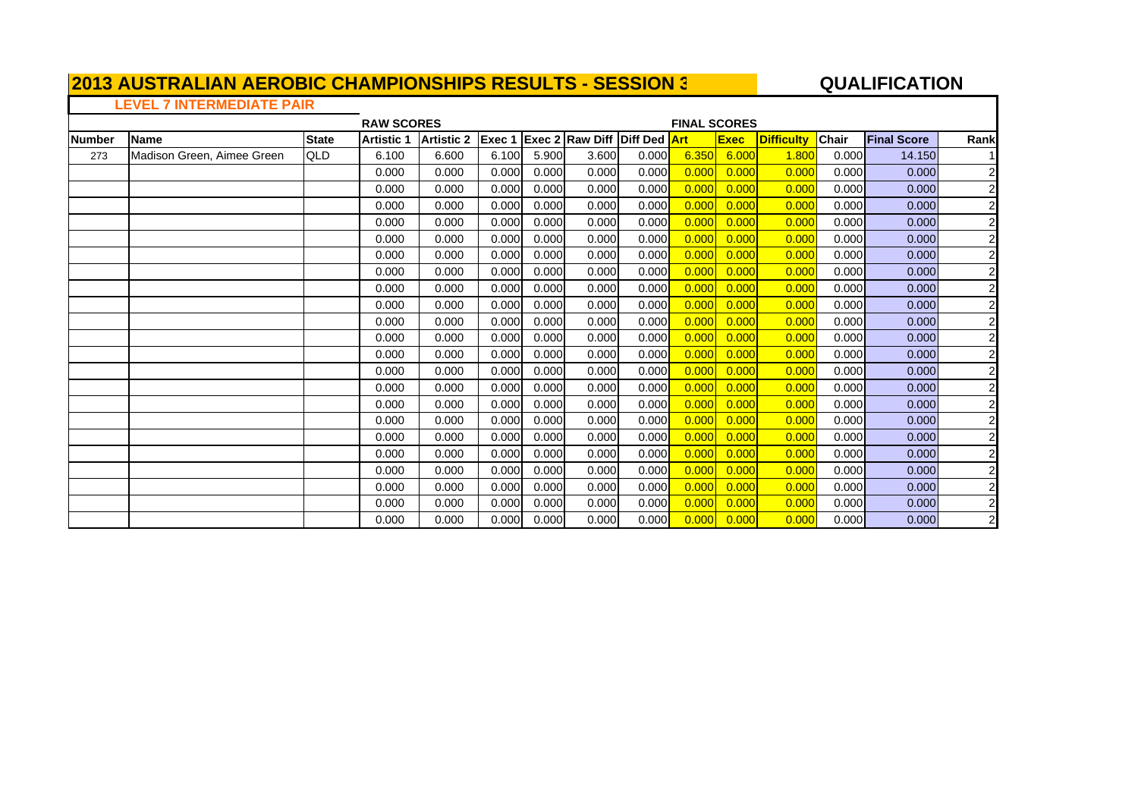#### **A**  $\overline{a}$  **QUALIFICATION**

 $\blacksquare$ 

### **LEVEL 7 INTERMEDIATE PAIR**

| <b>Number</b> | <b>Name</b>                | <b>State</b> | <b>Artistic 1</b> | <b>Artistic 2</b> |       |       | <b>Exec 1 Exec 2 Raw Diff Diff Ded Art</b> |       |       | <b>Exec</b> | <b>Difficulty</b> | Chair | <b>Final Score</b> | Rank           |
|---------------|----------------------------|--------------|-------------------|-------------------|-------|-------|--------------------------------------------|-------|-------|-------------|-------------------|-------|--------------------|----------------|
| 273           | Madison Green, Aimee Green | QLD          | 6.100             | 6.600             | 6.100 | 5.900 | 3.600                                      | 0.000 | 6.350 | 6.000       | 1.800             | 0.000 | 14.150             |                |
|               |                            |              | 0.000             | 0.000             | 0.000 | 0.000 | 0.000                                      | 0.000 | 0.000 | 0.000       | 0.000             | 0.000 | 0.000              | $\overline{2}$ |
|               |                            |              | 0.000             | 0.000             | 0.000 | 0.000 | 0.000                                      | 0.000 | 0.000 | 0.000       | 0.000             | 0.000 | 0.000              | $\overline{c}$ |
|               |                            |              | 0.000             | 0.000             | 0.000 | 0.000 | 0.000                                      | 0.000 | 0.000 | 0.000       | 0.000             | 0.000 | 0.000              | $\overline{c}$ |
|               |                            |              | 0.000             | 0.000             | 0.000 | 0.000 | 0.000                                      | 0.000 | 0.000 | 0.000       | 0.000             | 0.000 | 0.000              | $\overline{c}$ |
|               |                            |              | 0.000             | 0.000             | 0.000 | 0.000 | 0.000                                      | 0.000 | 0.000 | 0.000       | 0.000             | 0.000 | 0.000              | $\overline{c}$ |
|               |                            |              | 0.000             | 0.000             | 0.000 | 0.000 | 0.000                                      | 0.000 | 0.000 | 0.000       | 0.000             | 0.000 | 0.000              | $\overline{2}$ |
|               |                            |              | 0.000             | 0.000             | 0.000 | 0.000 | 0.000                                      | 0.000 | 0.000 | 0.000       | 0.000             | 0.000 | 0.000              | $\overline{c}$ |
|               |                            |              | 0.000             | 0.000             | 0.000 | 0.000 | 0.000                                      | 0.000 | 0.000 | 0.000       | 0.000             | 0.000 | 0.000              | $\overline{c}$ |
|               |                            |              | 0.000             | 0.000             | 0.000 | 0.000 | 0.000                                      | 0.000 | 0.000 | 0.000       | 0.000             | 0.000 | 0.000              | $\overline{c}$ |
|               |                            |              | 0.000             | 0.000             | 0.000 | 0.000 | 0.000                                      | 0.000 | 0.000 | 0.000       | 0.000             | 0.000 | 0.000              | $\overline{c}$ |
|               |                            |              | 0.000             | 0.000             | 0.000 | 0.000 | 0.000                                      | 0.000 | 0.000 | 0.000       | 0.000             | 0.000 | 0.000              | $\overline{2}$ |
|               |                            |              | 0.000             | 0.000             | 0.000 | 0.000 | 0.000                                      | 0.000 | 0.000 | 0.000       | 0.000             | 0.000 | 0.000              | $\overline{2}$ |
|               |                            |              | 0.000             | 0.000             | 0.000 | 0.000 | 0.000                                      | 0.000 | 0.000 | 0.000       | 0.000             | 0.000 | 0.000              | $\overline{2}$ |
|               |                            |              | 0.000             | 0.000             | 0.000 | 0.000 | 0.000                                      | 0.000 | 0.000 | 0.000       | 0.000             | 0.000 | 0.000              | $\overline{c}$ |
|               |                            |              | 0.000             | 0.000             | 0.000 | 0.000 | 0.000                                      | 0.000 | 0.000 | 0.000       | 0.000             | 0.000 | 0.000              | $\overline{2}$ |
|               |                            |              | 0.000             | 0.000             | 0.000 | 0.000 | 0.000                                      | 0.000 | 0.000 | 0.000       | 0.000             | 0.000 | 0.000              | $\overline{2}$ |
|               |                            |              | 0.000             | 0.000             | 0.000 | 0.000 | 0.000                                      | 0.000 | 0.000 | 0.000       | 0.000             | 0.000 | 0.000              | $\overline{2}$ |
|               |                            |              | 0.000             | 0.000             | 0.000 | 0.000 | 0.000                                      | 0.000 | 0.000 | 0.000       | 0.000             | 0.000 | 0.000              | $\overline{2}$ |
|               |                            |              | 0.000             | 0.000             | 0.000 | 0.000 | 0.000                                      | 0.000 | 0.000 | 0.000       | 0.000             | 0.000 | 0.000              | $\overline{2}$ |
|               |                            |              | 0.000             | 0.000             | 0.000 | 0.000 | 0.000                                      | 0.000 | 0.000 | 0.000       | 0.000             | 0.000 | 0.000              | $\overline{c}$ |
|               |                            |              | 0.000             | 0.000             | 0.000 | 0.000 | 0.000                                      | 0.000 | 0.000 | 0.000       | 0.000             | 0.000 | 0.000              | $\overline{2}$ |
|               |                            |              | 0.000             | 0.000             | 0.000 | 0.000 | 0.000                                      | 0.000 | 0.000 | 0.000       | 0.000             | 0.000 | 0.000              | $\overline{c}$ |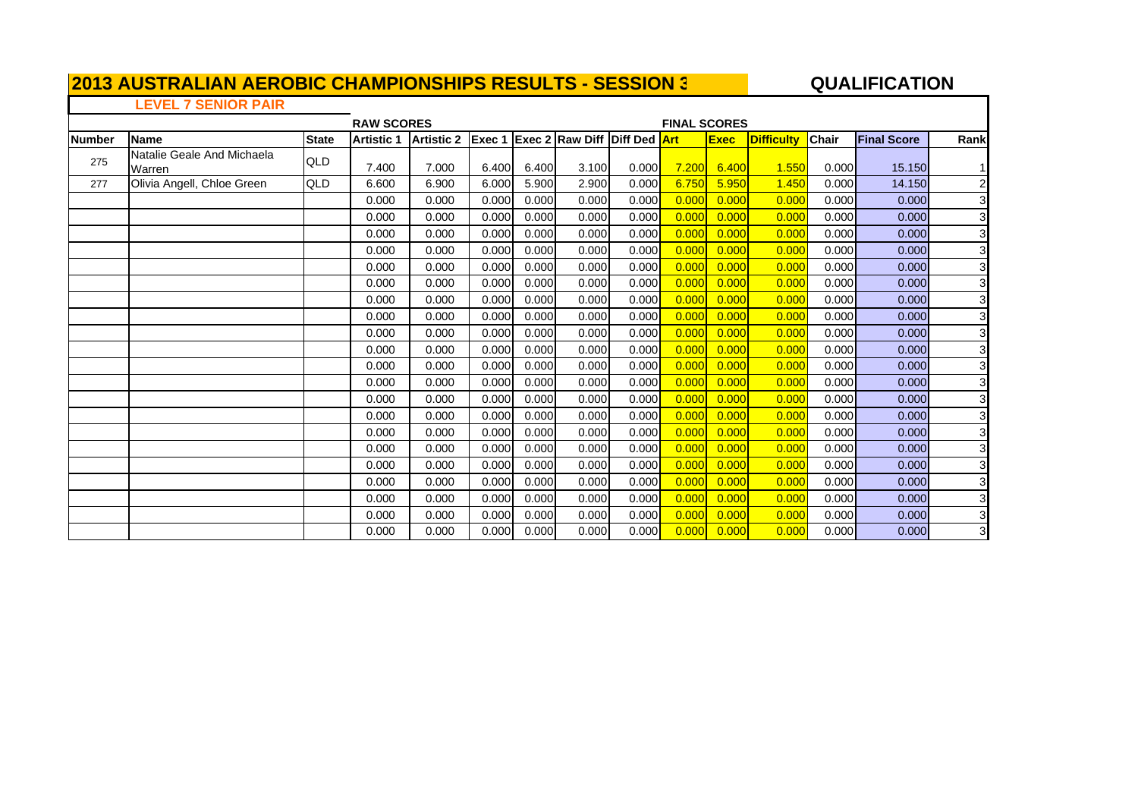#### **QUALIFICATIO N**

#### **LEVEL 7 SENIOR PAIR**

| <b>RAW SCORES</b> |                                      |              |                   |                   |        |       |                                     |       |       | <b>FINAL SCORES</b> |                   |              |                    |                         |  |  |  |
|-------------------|--------------------------------------|--------------|-------------------|-------------------|--------|-------|-------------------------------------|-------|-------|---------------------|-------------------|--------------|--------------------|-------------------------|--|--|--|
| <b>Number</b>     | <b>Name</b>                          | <b>State</b> | <b>Artistic 1</b> | <b>Artistic 2</b> | Exec 1 |       | <b>Exec 2 Raw Diff Diff Ded Art</b> |       |       | <b>Exec</b>         | <b>Difficulty</b> | <b>Chair</b> | <b>Final Score</b> | Rank                    |  |  |  |
| 275               | Natalie Geale And Michaela<br>Warren | QLD          | 7.400             | 7.000             | 6.400  | 6.400 | 3.100                               | 0.000 | 7.200 | 6.400               | 1.550             | 0.000        | 15.150             | 11                      |  |  |  |
| 277               | Olivia Angell, Chloe Green           | QLD          | 6.600             | 6.900             | 6.000  | 5.900 | 2.900                               | 0.000 | 6.750 | 5.950               | 1.450             | 0.000        | 14.150             | $\overline{\mathbf{c}}$ |  |  |  |
|                   |                                      |              | 0.000             | 0.000             | 0.000  | 0.000 | 0.000                               | 0.000 | 0.000 | 0.000               | 0.000             | 0.000        | 0.000              | 3                       |  |  |  |
|                   |                                      |              | 0.000             | 0.000             | 0.000  | 0.000 | 0.000                               | 0.000 | 0.000 | 0.000               | 0.000             | 0.000        | 0.000              | 3                       |  |  |  |
|                   |                                      |              | 0.000             | 0.000             | 0.000  | 0.000 | 0.000                               | 0.000 | 0.000 | 0.000               | 0.000             | 0.000        | 0.000              | 3 <sub>l</sub>          |  |  |  |
|                   |                                      |              | 0.000             | 0.000             | 0.000  | 0.000 | 0.000                               | 0.000 | 0.000 | 0.000               | 0.000             | 0.000        | 0.000              | 3                       |  |  |  |
|                   |                                      |              | 0.000             | 0.000             | 0.000  | 0.000 | 0.000                               | 0.000 | 0.000 | 0.000               | 0.000             | 0.000        | 0.000              | 3                       |  |  |  |
|                   |                                      |              | 0.000             | 0.000             | 0.000  | 0.000 | 0.000                               | 0.000 | 0.000 | 0.000               | 0.000             | 0.000        | 0.000              | 3                       |  |  |  |
|                   |                                      |              | 0.000             | 0.000             | 0.000  | 0.000 | 0.000                               | 0.000 | 0.000 | 0.000               | 0.000             | 0.000        | 0.000              | 3                       |  |  |  |
|                   |                                      |              | 0.000             | 0.000             | 0.000  | 0.000 | 0.000                               | 0.000 | 0.000 | 0.000               | 0.000             | 0.000        | 0.000              | 3 <sup>l</sup>          |  |  |  |
|                   |                                      |              | 0.000             | 0.000             | 0.000  | 0.000 | 0.000                               | 0.000 | 0.000 | 0.000               | 0.000             | 0.000        | 0.000              | 3 <sup>l</sup>          |  |  |  |
|                   |                                      |              | 0.000             | 0.000             | 0.000  | 0.000 | 0.000                               | 0.000 | 0.000 | 0.000               | 0.000             | 0.000        | 0.000              | 3                       |  |  |  |
|                   |                                      |              | 0.000             | 0.000             | 0.000  | 0.000 | 0.000                               | 0.000 | 0.000 | 0.000               | 0.000             | 0.000        | 0.000              | 3                       |  |  |  |
|                   |                                      |              | 0.000             | 0.000             | 0.000  | 0.000 | 0.000                               | 0.000 | 0.000 | 0.000               | 0.000             | 0.000        | 0.000              | 3                       |  |  |  |
|                   |                                      |              | 0.000             | 0.000             | 0.000  | 0.000 | 0.000                               | 0.000 | 0.000 | 0.000               | 0.000             | 0.000        | 0.000              | 3                       |  |  |  |
|                   |                                      |              | 0.000             | 0.000             | 0.000  | 0.000 | 0.000                               | 0.000 | 0.000 | 0.000               | 0.000             | 0.000        | 0.000              | 3                       |  |  |  |
|                   |                                      |              | 0.000             | 0.000             | 0.000  | 0.000 | 0.000                               | 0.000 | 0.000 | 0.000               | 0.000             | 0.000        | 0.000              | $\overline{3}$          |  |  |  |
|                   |                                      |              | 0.000             | 0.000             | 0.000  | 0.000 | 0.000                               | 0.000 | 0.000 | 0.000               | 0.000             | 0.000        | 0.000              | 3                       |  |  |  |
|                   |                                      |              | 0.000             | 0.000             | 0.000  | 0.000 | 0.000                               | 0.000 | 0.000 | 0.000               | 0.000             | 0.000        | 0.000              | 3 <sup>l</sup>          |  |  |  |
|                   |                                      |              | 0.000             | 0.000             | 0.000  | 0.000 | 0.000                               | 0.000 | 0.000 | 0.000               | 0.000             | 0.000        | 0.000              | 3 <sup>l</sup>          |  |  |  |
|                   |                                      |              | 0.000             | 0.000             | 0.000  | 0.000 | 0.000                               | 0.000 | 0.000 | 0.000               | 0.000             | 0.000        | 0.000              | 3 <sup>l</sup>          |  |  |  |
|                   |                                      |              | 0.000             | 0.000             | 0.000  | 0.000 | 0.000                               | 0.000 | 0.000 | 0.000               | 0.000             | 0.000        | 0.000              | $\overline{3}$          |  |  |  |
|                   |                                      |              | 0.000             | 0.000             | 0.000  | 0.000 | 0.000                               | 0.000 | 0.000 | 0.000               | 0.000             | 0.000        | 0.000              | $\mathbf{3}$            |  |  |  |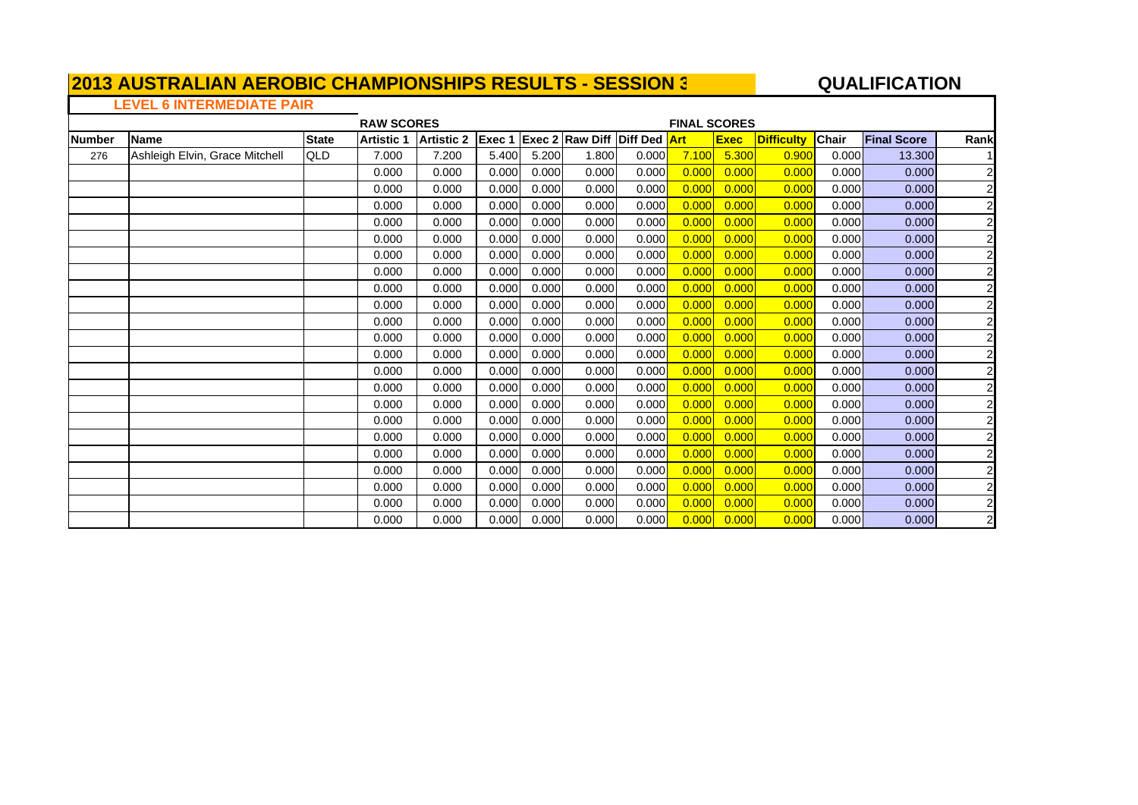#### **A**  $\overline{a}$  **QUALIFICATION**

### **LEVEL 6 INTERMEDIATE PAIR**

| <b>Number</b> | Name                           | <b>State</b> | <b>Artistic 1</b> | <b>Artistic 2</b> | Exec 1 |       | <b>Exec 2 Raw Diff Diff Ded Art</b> |       |       | <b>Exec</b> | <b>Difficulty</b> | <b>Chair</b> | <b>Final Score</b> | Rank                    |
|---------------|--------------------------------|--------------|-------------------|-------------------|--------|-------|-------------------------------------|-------|-------|-------------|-------------------|--------------|--------------------|-------------------------|
| 276           | Ashleigh Elvin, Grace Mitchell | QLD          | 7.000             | 7.200             | 5.400  | 5.200 | 1.800                               | 0.000 | 7.100 | 5.300       | 0.900             | 0.000        | 13.300             |                         |
|               |                                |              | 0.000             | 0.000             | 0.000  | 0.000 | 0.000                               | 0.000 | 0.000 | 0.000       | 0.000             | 0.000        | 0.000              | $\overline{c}$          |
|               |                                |              | 0.000             | 0.000             | 0.000  | 0.000 | 0.000                               | 0.000 | 0.000 | 0.000       | 0.000             | 0.000        | 0.000              | $\overline{c}$          |
|               |                                |              | 0.000             | 0.000             | 0.000  | 0.000 | 0.000                               | 0.000 | 0.000 | 0.000       | 0.000             | 0.000        | 0.000              | $\overline{c}$          |
|               |                                |              | 0.000             | 0.000             | 0.000  | 0.000 | 0.000                               | 0.000 | 0.000 | 0.000       | 0.000             | 0.000        | 0.000              | $\overline{c}$          |
|               |                                |              | 0.000             | 0.000             | 0.000  | 0.000 | 0.000                               | 0.000 | 0.000 | 0.000       | 0.000             | 0.000        | 0.000              | $\overline{c}$          |
|               |                                |              | 0.000             | 0.000             | 0.000  | 0.000 | 0.000                               | 0.000 | 0.000 | 0.000       | 0.000             | 0.000        | 0.000              | $\overline{c}$          |
|               |                                |              | 0.000             | 0.000             | 0.000  | 0.000 | 0.000                               | 0.000 | 0.000 | 0.000       | 0.000             | 0.000        | 0.000              | $\overline{2}$          |
|               |                                |              | 0.000             | 0.000             | 0.000  | 0.000 | 0.000                               | 0.000 | 0.000 | 0.000       | 0.000             | 0.000        | 0.000              | $\overline{c}$          |
|               |                                |              | 0.000             | 0.000             | 0.000  | 0.000 | 0.000                               | 0.000 | 0.000 | 0.000       | 0.000             | 0.000        | 0.000              | $\overline{c}$          |
|               |                                |              | 0.000             | 0.000             | 0.000  | 0.000 | 0.000                               | 0.000 | 0.000 | 0.000       | 0.000             | 0.000        | 0.000              | $\overline{c}$          |
|               |                                |              | 0.000             | 0.000             | 0.000  | 0.000 | 0.000                               | 0.000 | 0.000 | 0.000       | 0.000             | 0.000        | 0.000              | $\overline{c}$          |
|               |                                |              | 0.000             | 0.000             | 0.000  | 0.000 | 0.000                               | 0.000 | 0.000 | 0.000       | 0.000             | 0.000        | 0.000              | $\overline{2}$          |
|               |                                |              | 0.000             | 0.000             | 0.000  | 0.000 | 0.000                               | 0.000 | 0.000 | 0.000       | 0.000             | 0.000        | 0.000              | $\overline{2}$          |
|               |                                |              | 0.000             | 0.000             | 0.000  | 0.000 | 0.000                               | 0.000 | 0.000 | 0.000       | 0.000             | 0.000        | 0.000              | $\overline{2}$          |
|               |                                |              | 0.000             | 0.000             | 0.000  | 0.000 | 0.000                               | 0.000 | 0.000 | 0.000       | 0.000             | 0.000        | 0.000              | $\overline{c}$          |
|               |                                |              | 0.000             | 0.000             | 0.000  | 0.000 | 0.000                               | 0.000 | 0.000 | 0.000       | 0.000             | 0.000        | 0.000              | $\overline{\mathbf{c}}$ |
|               |                                |              | 0.000             | 0.000             | 0.000  | 0.000 | 0.000                               | 0.000 | 0.000 | 0.000       | 0.000             | 0.000        | 0.000              | $\overline{c}$          |
|               |                                |              | 0.000             | 0.000             | 0.000  | 0.000 | 0.000                               | 0.000 | 0.000 | 0.000       | 0.000             | 0.000        | 0.000              | $\overline{c}$          |
|               |                                |              | 0.000             | 0.000             | 0.000  | 0.000 | 0.000                               | 0.000 | 0.000 | 0.000       | 0.000             | 0.000        | 0.000              | $\overline{c}$          |
|               |                                |              | 0.000             | 0.000             | 0.000  | 0.000 | 0.000                               | 0.000 | 0.000 | 0.000       | 0.000             | 0.000        | 0.000              | $\overline{c}$          |
|               |                                |              | 0.000             | 0.000             | 0.000  | 0.000 | 0.000                               | 0.000 | 0.000 | 0.000       | 0.000             | 0.000        | 0.000              | $\overline{c}$          |
|               |                                |              | 0.000             | 0.000             | 0.000  | 0.000 | 0.000                               | 0.000 | 0.000 | 0.000       | 0.000             | 0.000        | 0.000              | $\overline{c}$          |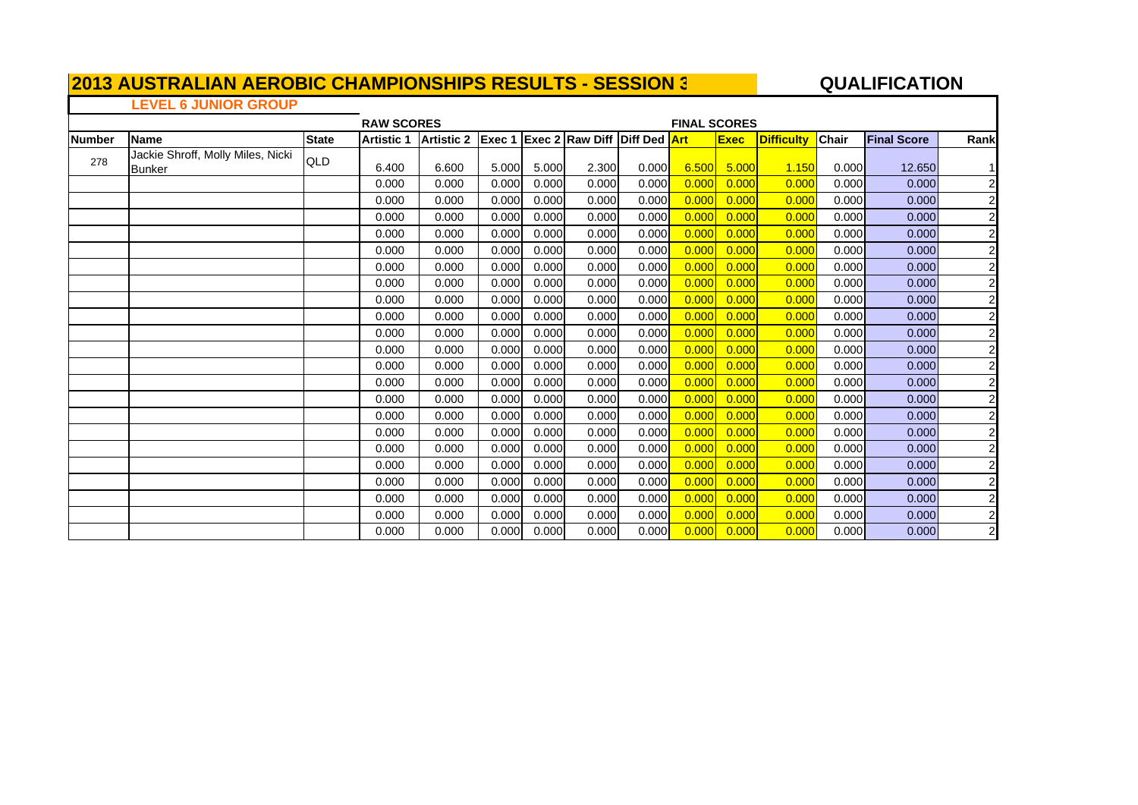#### **A**  $\overline{a}$  **QUALIFICATION**

 $\blacksquare$ 

### **LEVEL 6 JUNIOR GROUP**

| <b>RAW SCORES</b> |                                             |              |                   |                                                |       |       |       | <b>FINAL SCORES</b> |       |             |                   |              |                    |                         |  |  |
|-------------------|---------------------------------------------|--------------|-------------------|------------------------------------------------|-------|-------|-------|---------------------|-------|-------------|-------------------|--------------|--------------------|-------------------------|--|--|
| <b>Number</b>     | <b>Name</b>                                 | <b>State</b> | <b>Artistic 1</b> | Artistic 2 Exec 1 Exec 2 Raw Diff Diff Ded Art |       |       |       |                     |       | <b>Exec</b> | <b>Difficulty</b> | <b>Chair</b> | <b>Final Score</b> | Rank                    |  |  |
| 278               | Jackie Shroff, Molly Miles, Nicki<br>Bunker | QLD          | 6.400             | 6.600                                          | 5.000 | 5.000 | 2.300 | 0.000               | 6.500 | 5.000       | 1.150             | 0.000        | 12.650             | 1I                      |  |  |
|                   |                                             |              | 0.000             | 0.000                                          | 0.000 | 0.000 | 0.000 | 0.000               | 0.000 | 0.000       | 0.000             | 0.000        | 0.000              | $\overline{a}$          |  |  |
|                   |                                             |              | 0.000             | 0.000                                          | 0.000 | 0.000 | 0.000 | 0.000               | 0.000 | 0.000       | 0.000             | 0.000        | 0.000              | $\overline{a}$          |  |  |
|                   |                                             |              | 0.000             | 0.000                                          | 0.000 | 0.000 | 0.000 | 0.000               | 0.000 | 0.000       | 0.000             | 0.000        | 0.000              | $\overline{a}$          |  |  |
|                   |                                             |              | 0.000             | 0.000                                          | 0.000 | 0.000 | 0.000 | 0.000               | 0.000 | 0.000       | 0.000             | 0.000        | 0.000              | $\overline{\mathbf{c}}$ |  |  |
|                   |                                             |              | 0.000             | 0.000                                          | 0.000 | 0.000 | 0.000 | 0.000               | 0.000 | 0.000       | 0.000             | 0.000        | 0.000              | $\overline{\mathbf{c}}$ |  |  |
|                   |                                             |              | 0.000             | 0.000                                          | 0.000 | 0.000 | 0.000 | 0.000               | 0.000 | 0.000       | 0.000             | 0.000        | 0.000              | $\overline{c}$          |  |  |
|                   |                                             |              | 0.000             | 0.000                                          | 0.000 | 0.000 | 0.000 | 0.000               | 0.000 | 0.000       | 0.000             | 0.000        | 0.000              | $\overline{c}$          |  |  |
|                   |                                             |              | 0.000             | 0.000                                          | 0.000 | 0.000 | 0.000 | 0.000               | 0.000 | 0.000       | 0.000             | 0.000        | 0.000              | $\overline{\mathbf{c}}$ |  |  |
|                   |                                             |              | 0.000             | 0.000                                          | 0.000 | 0.000 | 0.000 | 0.000               | 0.000 | 0.000       | 0.000             | 0.000        | 0.000              | $\overline{c}$          |  |  |
|                   |                                             |              | 0.000             | 0.000                                          | 0.000 | 0.000 | 0.000 | 0.000               | 0.000 | 0.000       | 0.000             | 0.000        | 0.000              | $\overline{c}$          |  |  |
|                   |                                             |              | 0.000             | 0.000                                          | 0.000 | 0.000 | 0.000 | 0.000               | 0.000 | 0.000       | 0.000             | 0.000        | 0.000              | $\overline{c}$          |  |  |
|                   |                                             |              | 0.000             | 0.000                                          | 0.000 | 0.000 | 0.000 | 0.000               | 0.000 | 0.000       | 0.000             | 0.000        | 0.000              | $\overline{a}$          |  |  |
|                   |                                             |              | 0.000             | 0.000                                          | 0.000 | 0.000 | 0.000 | 0.000               | 0.000 | 0.000       | 0.000             | 0.000        | 0.000              | $\overline{\mathbf{c}}$ |  |  |
|                   |                                             |              | 0.000             | 0.000                                          | 0.000 | 0.000 | 0.000 | 0.000               | 0.000 | 0.000       | 0.000             | 0.000        | 0.000              | $\overline{\mathbf{c}}$ |  |  |
|                   |                                             |              | 0.000             | 0.000                                          | 0.000 | 0.000 | 0.000 | 0.000               | 0.000 | 0.000       | 0.000             | 0.000        | 0.000              | $\overline{\mathbf{c}}$ |  |  |
|                   |                                             |              | 0.000             | 0.000                                          | 0.000 | 0.000 | 0.000 | 0.000               | 0.000 | 0.000       | 0.000             | 0.000        | 0.000              | $\overline{\mathbf{c}}$ |  |  |
|                   |                                             |              | 0.000             | 0.000                                          | 0.000 | 0.000 | 0.000 | 0.000               | 0.000 | 0.000       | 0.000             | 0.000        | 0.000              | $\overline{c}$          |  |  |
|                   |                                             |              | 0.000             | 0.000                                          | 0.000 | 0.000 | 0.000 | 0.000               | 0.000 | 0.000       | 0.000             | 0.000        | 0.000              | $\overline{\mathbf{c}}$ |  |  |
|                   |                                             |              | 0.000             | 0.000                                          | 0.000 | 0.000 | 0.000 | 0.000               | 0.000 | 0.000       | 0.000             | 0.000        | 0.000              | $\overline{\mathbf{c}}$ |  |  |
|                   |                                             |              | 0.000             | 0.000                                          | 0.000 | 0.000 | 0.000 | 0.000               | 0.000 | 0.000       | 0.000             | 0.000        | 0.000              | $\overline{c}$          |  |  |
|                   |                                             |              | 0.000             | 0.000                                          | 0.000 | 0.000 | 0.000 | 0.000               | 0.000 | 0.000       | 0.000             | 0.000        | 0.000              | $\overline{a}$          |  |  |
|                   |                                             |              | 0.000             | 0.000                                          | 0.000 | 0.000 | 0.000 | 0.000               | 0.000 | 0.000       | 0.000             | 0.000        | 0.000              | $\mathbf{2}$            |  |  |